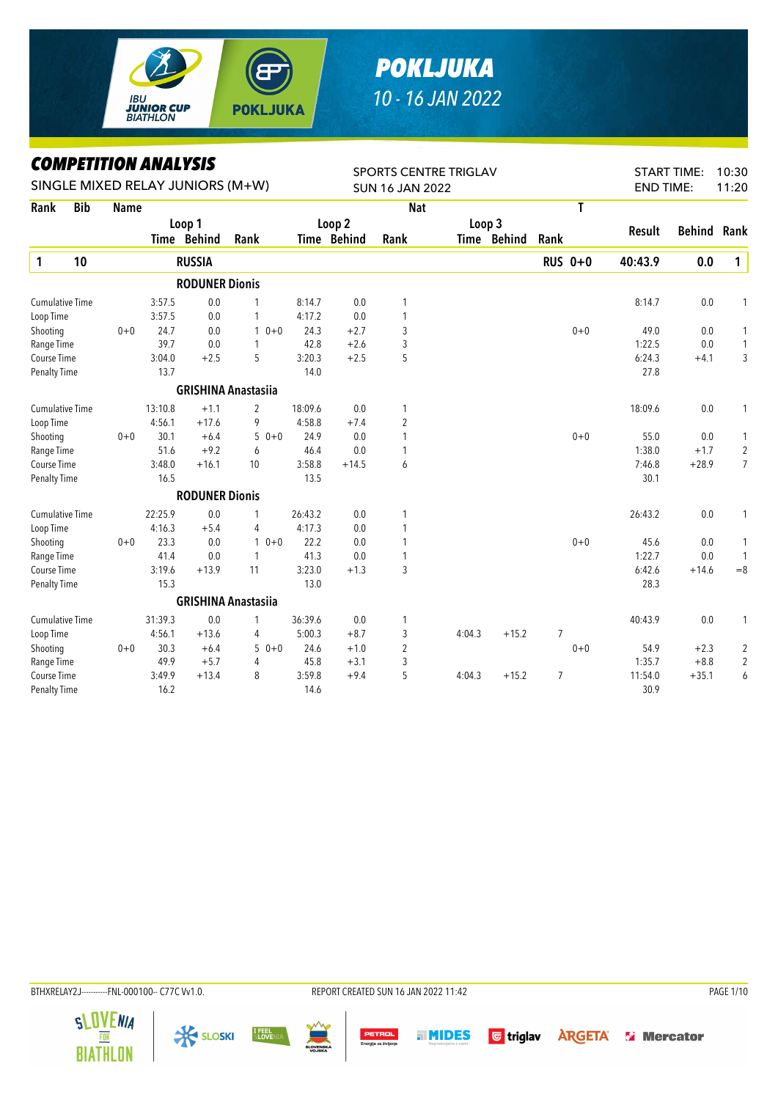

## *POKLJUKA 10 - 16 JAN 2022*

*COMPETITION ANALYSIS*

|                        | LUMPEIIIIUN ANALIƏIƏ |             |         |                                  |                            |         | <b>SPORTS CENTRE TRIGLAV</b> |                        |        |             |                |                | 10:30<br><b>START TIME:</b> |               |                |
|------------------------|----------------------|-------------|---------|----------------------------------|----------------------------|---------|------------------------------|------------------------|--------|-------------|----------------|----------------|-----------------------------|---------------|----------------|
|                        |                      |             |         | SINGLE MIXED RELAY JUNIORS (M+W) |                            |         |                              | <b>SUN 16 JAN 2022</b> |        |             |                |                | <b>END TIME:</b>            |               | 11:20          |
| Rank                   | <b>Bib</b>           | <b>Name</b> |         |                                  |                            |         |                              | <b>Nat</b>             |        |             |                | T              |                             |               |                |
|                        |                      |             |         | Loop 1                           |                            | Loop 2  |                              |                        | Loop 3 |             |                |                | Result                      | <b>Behind</b> | Rank           |
|                        |                      |             |         | Time Behind                      | Rank                       |         | Time Behind                  | Rank                   |        | Time Behind | Rank           |                |                             |               |                |
| $\mathbf{1}$           | 10                   |             |         | <b>RUSSIA</b>                    |                            |         |                              |                        |        |             |                | <b>RUS 0+0</b> | 40:43.9                     | 0.0           | $\mathbf{1}$   |
|                        |                      |             |         | <b>RODUNER Dionis</b>            |                            |         |                              |                        |        |             |                |                |                             |               |                |
| <b>Cumulative Time</b> |                      |             | 3:57.5  | 0.0                              | 1                          | 8:14.7  | 0.0                          | 1                      |        |             |                |                | 8:14.7                      | 0.0           | 1              |
| Loop Time              |                      |             | 3:57.5  | 0.0                              | 1                          | 4:17.2  | 0.0                          | 1                      |        |             |                |                |                             |               |                |
| Shooting               |                      | $0 + 0$     | 24.7    | 0.0                              | $10+0$                     | 24.3    | $+2.7$                       | 3                      |        |             |                | $0 + 0$        | 49.0                        | 0.0           | $\mathbf{1}$   |
| Range Time             |                      |             | 39.7    | 0.0                              | $\mathbf{1}$               | 42.8    | $+2.6$                       | 3                      |        |             |                |                | 1:22.5                      | 0.0           | $\mathbf{1}$   |
| Course Time            |                      |             | 3:04.0  | $+2.5$                           | 5                          | 3:20.3  | $+2.5$                       | 5                      |        |             |                |                | 6:24.3                      | $+4.1$        | 3              |
| <b>Penalty Time</b>    |                      |             | 13.7    |                                  |                            | 14.0    |                              |                        |        |             |                |                | 27.8                        |               |                |
|                        |                      |             |         |                                  | <b>GRISHINA Anastasiia</b> |         |                              |                        |        |             |                |                |                             |               |                |
| <b>Cumulative Time</b> |                      |             | 13:10.8 | $+1.1$                           | $\overline{2}$             | 18:09.6 | 0.0                          | 1                      |        |             |                |                | 18:09.6                     | 0.0           | 1              |
| Loop Time              |                      |             | 4:56.1  | $+17.6$                          | 9                          | 4:58.8  | $+7.4$                       | $\overline{c}$         |        |             |                |                |                             |               |                |
| Shooting               |                      | $0 + 0$     | 30.1    | $+6.4$                           | $50+0$                     | 24.9    | 0.0                          | 1                      |        |             |                | $0 + 0$        | 55.0                        | 0.0           | 1              |
| Range Time             |                      |             | 51.6    | $+9.2$                           | 6                          | 46.4    | 0.0                          | 1                      |        |             |                |                | 1:38.0                      | $+1.7$        | $\overline{2}$ |
| Course Time            |                      |             | 3:48.0  | $+16.1$                          | 10                         | 3:58.8  | $+14.5$                      | 6                      |        |             |                |                | 7:46.8                      | $+28.9$       | $\overline{7}$ |
| <b>Penalty Time</b>    |                      |             | 16.5    |                                  |                            | 13.5    |                              |                        |        |             |                |                | 30.1                        |               |                |
|                        |                      |             |         | <b>RODUNER Dionis</b>            |                            |         |                              |                        |        |             |                |                |                             |               |                |
| <b>Cumulative Time</b> |                      |             | 22:25.9 | 0.0                              | 1                          | 26:43.2 | 0.0                          | 1                      |        |             |                |                | 26:43.2                     | 0.0           | 1              |
| Loop Time              |                      |             | 4:16.3  | $+5.4$                           | 4                          | 4:17.3  | 0.0                          | 1                      |        |             |                |                |                             |               |                |
| Shooting               |                      | $0 + 0$     | 23.3    | 0.0                              | $10+0$                     | 22.2    | 0.0                          | 1                      |        |             |                | $0 + 0$        | 45.6                        | 0.0           | 1              |
| Range Time             |                      |             | 41.4    | 0.0                              | 1                          | 41.3    | 0.0                          | 1                      |        |             |                |                | 1:22.7                      | 0.0           | $\mathbf{1}$   |
| Course Time            |                      |             | 3:19.6  | $+13.9$                          | 11                         | 3:23.0  | $+1.3$                       | 3                      |        |             |                |                | 6:42.6                      | $+14.6$       | $=8$           |
| <b>Penalty Time</b>    |                      |             | 15.3    |                                  |                            | 13.0    |                              |                        |        |             |                |                | 28.3                        |               |                |
|                        |                      |             |         |                                  | <b>GRISHINA Anastasiia</b> |         |                              |                        |        |             |                |                |                             |               |                |
| <b>Cumulative Time</b> |                      |             | 31:39.3 | 0.0                              | 1                          | 36:39.6 | 0.0                          | 1                      |        |             |                |                | 40:43.9                     | 0.0           | 1              |
| Loop Time              |                      |             | 4:56.1  | $+13.6$                          | 4                          | 5:00.3  | $+8.7$                       | 3                      | 4:04.3 | $+15.2$     | $\overline{7}$ |                |                             |               |                |
| Shooting               |                      | $0 + 0$     | 30.3    | $+6.4$                           | $50+0$                     | 24.6    | $+1.0$                       | $\overline{2}$         |        |             |                | $0 + 0$        | 54.9                        | $+2.3$        | $\overline{c}$ |
| Range Time             |                      |             | 49.9    | $+5.7$                           | 4                          | 45.8    | $+3.1$                       | 3                      |        |             |                |                | 1:35.7                      | $+8.8$        | $\overline{2}$ |
| <b>Course Time</b>     |                      |             | 3:49.9  | $+13.4$                          | 8                          | 3:59.8  | $+9.4$                       | 5                      | 4:04.3 | $+15.2$     | $\overline{7}$ |                | 11:54.0                     | $+35.1$       | 6              |
| <b>Penalty Time</b>    |                      |             | 16.2    |                                  |                            | 14.6    |                              |                        |        |             |                |                | 30.9                        |               |                |

BTHXRELAY2J----------FNL-000100-- C77C Vv1.0. REPORT CREATED SUN 16 JAN 2022 11:42 PAGE 1/10









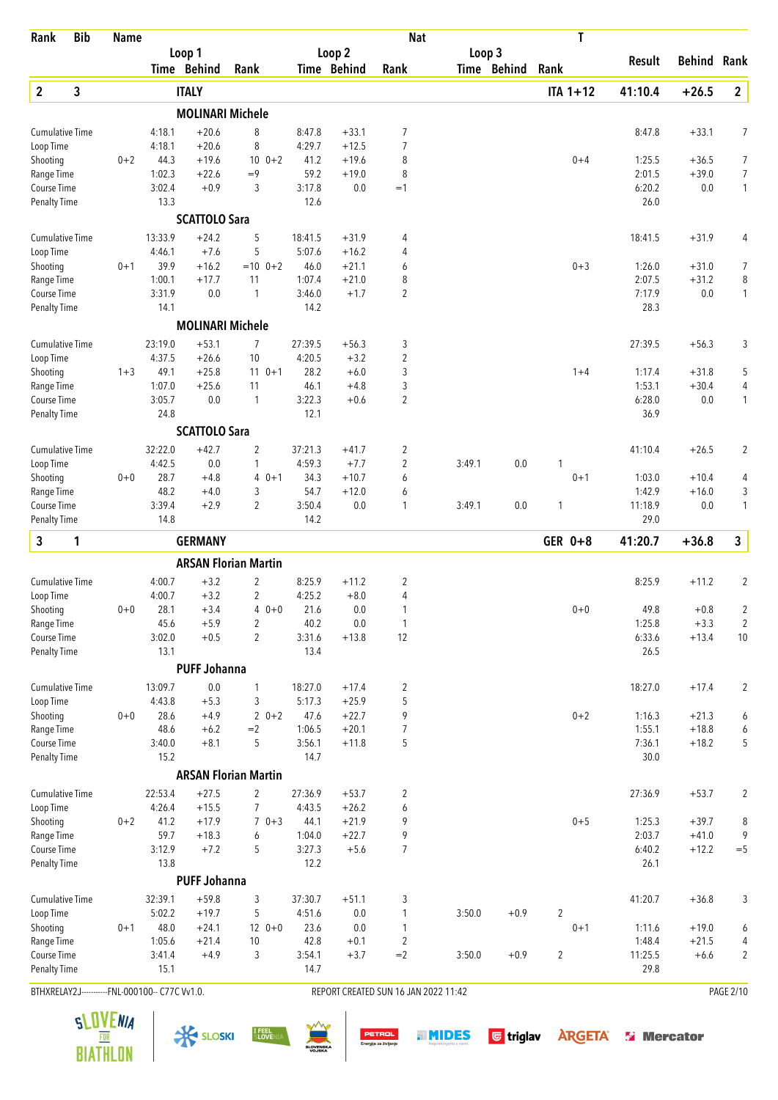| Rank                               | <b>Bib</b> | <b>Name</b> |                                                |                         |                             |                  |                   | <b>Nat</b>                           |        |             | T              |                  |                    |                                |
|------------------------------------|------------|-------------|------------------------------------------------|-------------------------|-----------------------------|------------------|-------------------|--------------------------------------|--------|-------------|----------------|------------------|--------------------|--------------------------------|
|                                    |            |             |                                                | Loop 1                  |                             |                  | Loop 2            |                                      | Loop 3 |             |                | Result           | <b>Behind Rank</b> |                                |
|                                    |            |             |                                                | Time Behind             | Rank                        |                  | Time Behind       | Rank                                 |        | Time Behind | Rank           |                  |                    |                                |
| $\overline{2}$                     | 3          |             |                                                | <b>ITALY</b>            |                             |                  |                   |                                      |        |             | $ITA 1+12$     | 41:10.4          | $+26.5$            | $\overline{2}$                 |
|                                    |            |             |                                                | <b>MOLINARI Michele</b> |                             |                  |                   |                                      |        |             |                |                  |                    |                                |
| <b>Cumulative Time</b>             |            |             | 4:18.1                                         | $+20.6$                 | 8                           | 8:47.8           | $+33.1$           | 7                                    |        |             |                | 8:47.8           | $+33.1$            | 7                              |
| Loop Time                          |            |             | 4:18.1                                         | $+20.6$                 | 8                           | 4:29.7           | $+12.5$           | 7                                    |        |             |                |                  |                    |                                |
| Shooting                           |            | $0 + 2$     | 44.3                                           | $+19.6$                 | $10 \t 0+2$                 | 41.2             | $+19.6$           | 8                                    |        |             | $0 + 4$        | 1:25.5           | $+36.5$            | 7                              |
| Range Time<br>Course Time          |            |             | 1:02.3<br>3:02.4                               | $+22.6$<br>$+0.9$       | $=9$<br>3                   | 59.2<br>3:17.8   | $+19.0$<br>0.0    | 8<br>$=1$                            |        |             |                | 2:01.5<br>6:20.2 | $+39.0$<br>0.0     | $\overline{7}$<br>$\mathbf{1}$ |
| <b>Penalty Time</b>                |            |             | 13.3                                           |                         |                             | 12.6             |                   |                                      |        |             |                | 26.0             |                    |                                |
|                                    |            |             |                                                | <b>SCATTOLO Sara</b>    |                             |                  |                   |                                      |        |             |                |                  |                    |                                |
| <b>Cumulative Time</b>             |            |             | 13:33.9                                        | $+24.2$                 | 5                           | 18:41.5          | $+31.9$           | 4                                    |        |             |                | 18:41.5          | $+31.9$            | 4                              |
| Loop Time                          |            |             | 4:46.1                                         | $+7.6$                  | 5                           | 5:07.6           | $+16.2$           | 4                                    |        |             |                |                  |                    |                                |
| Shooting                           |            | $0 + 1$     | 39.9                                           | $+16.2$                 | $=10$ 0+2                   | 46.0             | $+21.1$           | 6                                    |        |             | $0 + 3$        | 1:26.0           | $+31.0$            | 7                              |
| Range Time                         |            |             | 1:00.1                                         | $+17.7$                 | 11                          | 1:07.4           | $+21.0$           | 8                                    |        |             |                | 2:07.5           | $+31.2$            | 8                              |
| Course Time                        |            |             | 3:31.9                                         | 0.0                     | $\mathbf{1}$                | 3:46.0           | $+1.7$            | 2                                    |        |             |                | 7:17.9           | 0.0                | 1                              |
| <b>Penalty Time</b>                |            |             | 14.1                                           |                         |                             | 14.2             |                   |                                      |        |             |                | 28.3             |                    |                                |
|                                    |            |             |                                                | <b>MOLINARI Michele</b> |                             |                  |                   |                                      |        |             |                |                  |                    |                                |
| <b>Cumulative Time</b>             |            |             | 23:19.0                                        | $+53.1$                 | 7                           | 27:39.5          | $+56.3$           | 3                                    |        |             |                | 27:39.5          | $+56.3$            | 3                              |
| Loop Time                          |            |             | 4:37.5                                         | $+26.6$                 | 10                          | 4:20.5           | $+3.2$            | $\overline{2}$                       |        |             |                |                  |                    |                                |
| Shooting                           |            | $1 + 3$     | 49.1                                           | $+25.8$                 | $11 \t 0+1$                 | 28.2             | $+6.0$            | 3                                    |        |             | $1 + 4$        | 1:17.4           | $+31.8$            | 5                              |
| Range Time                         |            |             | 1:07.0                                         | $+25.6$                 | 11                          | 46.1             | $+4.8$            | 3                                    |        |             |                | 1:53.1           | $+30.4$            | 4                              |
| Course Time                        |            |             | 3:05.7<br>24.8                                 | 0.0                     | $\mathbf{1}$                | 3:22.3<br>12.1   | $+0.6$            | 2                                    |        |             |                | 6:28.0<br>36.9   | $0.0\,$            | 1                              |
| <b>Penalty Time</b>                |            |             |                                                | <b>SCATTOLO Sara</b>    |                             |                  |                   |                                      |        |             |                |                  |                    |                                |
| <b>Cumulative Time</b>             |            |             | 32:22.0                                        | $+42.7$                 | $\overline{2}$              | 37:21.3          | $+41.7$           | 2                                    |        |             |                | 41:10.4          | $+26.5$            | 2                              |
| Loop Time                          |            |             | 4:42.5                                         | 0.0                     | $\mathbf{1}$                | 4:59.3           | $+7.7$            | 2                                    | 3:49.1 | 0.0         | 1              |                  |                    |                                |
| Shooting                           |            | $0 + 0$     | 28.7                                           | $+4.8$                  | 4<br>$0 + 1$                | 34.3             | $+10.7$           | 6                                    |        |             | $0 + 1$        | 1:03.0           | $+10.4$            | 4                              |
| Range Time                         |            |             | 48.2                                           | $+4.0$                  | 3                           | 54.7             | $+12.0$           | 6                                    |        |             |                | 1:42.9           | $+16.0$            | 3                              |
| Course Time                        |            |             | 3:39.4                                         | $+2.9$                  | $\overline{2}$              | 3:50.4           | 0.0               | 1                                    | 3:49.1 | 0.0         | 1              | 11:18.9          | 0.0                | 1                              |
| <b>Penalty Time</b>                |            |             | 14.8                                           |                         |                             | 14.2             |                   |                                      |        |             |                | 29.0             |                    |                                |
| 3                                  | 1          |             |                                                | <b>GERMANY</b>          |                             |                  |                   |                                      |        |             | GER 0+8        | 41:20.7          | $+36.8$            | $\mathbf{3}$                   |
|                                    |            |             |                                                |                         | <b>ARSAN Florian Martin</b> |                  |                   |                                      |        |             |                |                  |                    |                                |
| <b>Cumulative Time</b>             |            |             | 4:00.7                                         | $+3.2$                  | 2                           | 8:25.9           | $+11.2$           | 2                                    |        |             |                | 8:25.9           | $+11.2$            | $\overline{2}$                 |
| Loop Time                          |            |             | 4:00.7                                         | $+3.2$                  | $\overline{2}$              | 4:25.2           | $+8.0$            | 4                                    |        |             |                |                  |                    |                                |
| Shooting                           |            | $0 + 0$     | 28.1                                           | $+3.4$                  | $40+0$                      | 21.6             | 0.0               | 1                                    |        |             | $0 + 0$        | 49.8             | $+0.8$             | 2                              |
| Range Time                         |            |             | 45.6                                           | $+5.9$                  | $\overline{2}$              | 40.2             | $0.0\,$           | $\mathbf{1}$                         |        |             |                | 1:25.8           | $+3.3$             | $\overline{2}$                 |
| Course Time<br><b>Penalty Time</b> |            |             | 3:02.0<br>13.1                                 | $+0.5$                  | $\overline{2}$              | 3:31.6<br>13.4   | $+13.8$           | 12                                   |        |             |                | 6:33.6<br>26.5   | $+13.4$            | 10                             |
|                                    |            |             |                                                | <b>PUFF Johanna</b>     |                             |                  |                   |                                      |        |             |                |                  |                    |                                |
| <b>Cumulative Time</b>             |            |             | 13:09.7                                        | $0.0\,$                 | 1                           | 18:27.0          | $+17.4$           | 2                                    |        |             |                | 18:27.0          | $+17.4$            | $\overline{c}$                 |
| Loop Time                          |            |             | 4:43.8                                         | $+5.3$                  | 3                           | 5:17.3           | $+25.9$           | 5                                    |        |             |                |                  |                    |                                |
| Shooting                           |            | $0 + 0$     | 28.6                                           | $+4.9$                  | $20+2$                      | 47.6             | $+22.7$           | 9                                    |        |             | $0 + 2$        | 1:16.3           | $+21.3$            | 6                              |
| Range Time                         |            |             | 48.6                                           | $+6.2$                  | $=2$                        | 1:06.5           | $+20.1$           | $\overline{7}$                       |        |             |                | 1:55.1           | $+18.8$            | 6                              |
| Course Time                        |            |             | 3:40.0                                         | $+8.1$                  | 5                           | 3:56.1           | $+11.8$           | 5                                    |        |             |                | 7:36.1           | $+18.2$            | 5                              |
| Penalty Time                       |            |             | 15.2                                           |                         |                             | 14.7             |                   |                                      |        |             |                | 30.0             |                    |                                |
|                                    |            |             |                                                |                         | <b>ARSAN Florian Martin</b> |                  |                   |                                      |        |             |                |                  |                    |                                |
| <b>Cumulative Time</b>             |            |             | 22:53.4                                        | $+27.5$                 | $\overline{2}$              | 27:36.9          | $+53.7$           | 2                                    |        |             |                | 27:36.9          | $+53.7$            | 2                              |
| Loop Time                          |            |             | 4:26.4                                         | $+15.5$                 | 7                           | 4:43.5           | $+26.2$           | 6                                    |        |             |                |                  |                    |                                |
| Shooting                           |            | $0 + 2$     | 41.2                                           | $+17.9$                 | $70+3$                      | 44.1             | $+21.9$           | 9                                    |        |             | $0 + 5$        | 1:25.3           | $+39.7$            | 8                              |
| Range Time<br>Course Time          |            |             | 59.7<br>3:12.9                                 | $+18.3$<br>$+7.2$       | 6<br>5                      | 1:04.0<br>3:27.3 | $+22.7$<br>$+5.6$ | 9<br>7                               |        |             |                | 2:03.7<br>6:40.2 | $+41.0$<br>$+12.2$ | 9<br>$=$ 5                     |
| <b>Penalty Time</b>                |            |             | 13.8                                           |                         |                             | 12.2             |                   |                                      |        |             |                | 26.1             |                    |                                |
|                                    |            |             |                                                | <b>PUFF Johanna</b>     |                             |                  |                   |                                      |        |             |                |                  |                    |                                |
| Cumulative Time                    |            |             | 32:39.1                                        | $+59.8$                 | 3                           | 37:30.7          | $+51.1$           | 3                                    |        |             |                | 41:20.7          | $+36.8$            | 3                              |
| Loop Time                          |            |             | 5:02.2                                         | $+19.7$                 | 5                           | 4:51.6           | $0.0\,$           | $\mathbf{1}$                         | 3:50.0 | $+0.9$      | $\overline{2}$ |                  |                    |                                |
| Shooting                           |            | $0 + 1$     | 48.0                                           | $+24.1$                 | $12 \t 0+0$                 | 23.6             | 0.0               | 1                                    |        |             | $0 + 1$        | 1:11.6           | $+19.0$            | 6                              |
| Range Time                         |            |             | 1:05.6                                         | $+21.4$                 | 10                          | 42.8             | $+0.1$            | $\overline{2}$                       |        |             |                | 1:48.4           | $+21.5$            | 4                              |
| Course Time<br>Penalty Time        |            |             | 3:41.4<br>15.1                                 | $+4.9$                  | 3                           | 3:54.1<br>14.7   | $+3.7$            | $=2$                                 | 3:50.0 | $+0.9$      | $\overline{2}$ | 11:25.5<br>29.8  | $+6.6$             | $\overline{c}$                 |
|                                    |            |             |                                                |                         |                             |                  |                   |                                      |        |             |                |                  |                    |                                |
|                                    |            |             | BTHXRELAY2J-----------FNL-000100-- C77C Vv1.0. |                         |                             |                  |                   | REPORT CREATED SUN 16 JAN 2022 11:42 |        |             |                |                  |                    | PAGE 2/10                      |

**PETROL**<br>Energija za življenje

**THIDES** Gtriglav **ARGETA** 5 Mercator





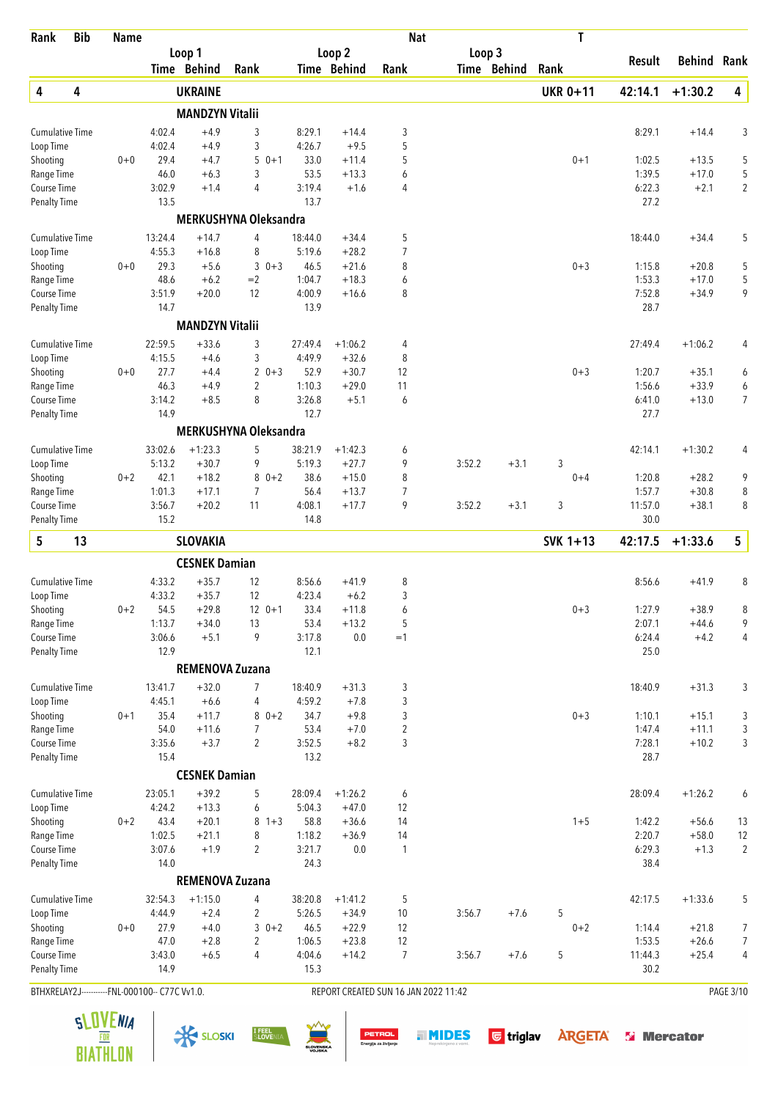| Rank                                           | <b>Bib</b> | <b>Name</b> |                |                        |                              |                |                    | <b>Nat</b>                           |        |             | T               |                  |                    |                     |
|------------------------------------------------|------------|-------------|----------------|------------------------|------------------------------|----------------|--------------------|--------------------------------------|--------|-------------|-----------------|------------------|--------------------|---------------------|
|                                                |            |             |                | Loop 1                 |                              |                | Loop 2             |                                      | Loop 3 |             |                 | Result           | <b>Behind Rank</b> |                     |
|                                                |            |             |                | Time Behind            | Rank                         |                | Time Behind        | Rank                                 |        | Time Behind | Rank            |                  |                    |                     |
| 4                                              | 4          |             |                | <b>UKRAINE</b>         |                              |                |                    |                                      |        |             | <b>UKR 0+11</b> | 42:14.1          | $+1:30.2$          | 4                   |
|                                                |            |             |                | <b>MANDZYN Vitalii</b> |                              |                |                    |                                      |        |             |                 |                  |                    |                     |
| <b>Cumulative Time</b>                         |            |             | 4:02.4         | $+4.9$                 | 3                            | 8:29.1         | $+14.4$            | 3                                    |        |             |                 | 8:29.1           | $+14.4$            | 3                   |
| Loop Time                                      |            |             | 4:02.4         | $+4.9$                 | 3                            | 4:26.7         | $+9.5$             | 5                                    |        |             |                 |                  |                    |                     |
| Shooting                                       |            | $0 + 0$     | 29.4<br>46.0   | $+4.7$                 | 5<br>$0 + 1$<br>3            | 33.0<br>53.5   | $+11.4$            | 5                                    |        |             | $0 + 1$         | 1:02.5<br>1:39.5 | $+13.5$            | 5                   |
| Range Time<br>Course Time                      |            |             | 3:02.9         | $+6.3$<br>$+1.4$       | $\overline{4}$               | 3:19.4         | $+13.3$<br>$+1.6$  | 6<br>4                               |        |             |                 | 6:22.3           | $+17.0$<br>$+2.1$  | 5<br>$\overline{2}$ |
| <b>Penalty Time</b>                            |            |             | 13.5           |                        |                              | 13.7           |                    |                                      |        |             |                 | 27.2             |                    |                     |
|                                                |            |             |                |                        | MERKUSHYNA Oleksandra        |                |                    |                                      |        |             |                 |                  |                    |                     |
| <b>Cumulative Time</b>                         |            |             | 13:24.4        | $+14.7$                | 4                            | 18:44.0        | $+34.4$            | 5                                    |        |             |                 | 18:44.0          | $+34.4$            | 5                   |
| Loop Time                                      |            |             | 4:55.3         | $+16.8$                | 8                            | 5:19.6         | $+28.2$            | 7                                    |        |             |                 |                  |                    |                     |
| Shooting                                       |            | $0 + 0$     | 29.3           | $+5.6$                 | $0 + 3$<br>3                 | 46.5           | $+21.6$            | 8                                    |        |             | $0 + 3$         | 1:15.8           | $+20.8$            | 5                   |
| Range Time                                     |            |             | 48.6           | $+6.2$                 | $=2$                         | 1:04.7         | $+18.3$            | 6                                    |        |             |                 | 1:53.3           | $+17.0$            | 5                   |
| Course Time                                    |            |             | 3:51.9         | $+20.0$                | 12                           | 4:00.9         | $+16.6$            | 8                                    |        |             |                 | 7:52.8           | $+34.9$            | 9                   |
| <b>Penalty Time</b>                            |            |             | 14.7           |                        |                              | 13.9           |                    |                                      |        |             |                 | 28.7             |                    |                     |
|                                                |            |             |                | <b>MANDZYN Vitalii</b> |                              |                |                    |                                      |        |             |                 |                  |                    |                     |
| <b>Cumulative Time</b>                         |            |             | 22:59.5        | $+33.6$                | 3                            | 27:49.4        | $+1:06.2$          | 4                                    |        |             |                 | 27:49.4          | $+1:06.2$          | 4                   |
| Loop Time                                      |            |             | 4:15.5         | $+4.6$                 | 3                            | 4:49.9         | $+32.6$            | 8                                    |        |             |                 |                  |                    |                     |
| Shooting                                       |            | $0 + 0$     | 27.7           | $+4.4$                 | $\overline{2}$<br>$0 + 3$    | 52.9           | $+30.7$            | 12                                   |        |             | $0 + 3$         | 1:20.7           | $+35.1$            | 6                   |
| Range Time                                     |            |             | 46.3           | $+4.9$                 | 2                            | 1:10.3         | $+29.0$            | 11                                   |        |             |                 | 1:56.6           | $+33.9$            | 6                   |
| Course Time<br><b>Penalty Time</b>             |            |             | 3:14.2<br>14.9 | $+8.5$                 | 8                            | 3:26.8<br>12.7 | $+5.1$             | 6                                    |        |             |                 | 6:41.0<br>27.7   | $+13.0$            | 7                   |
|                                                |            |             |                |                        | <b>MERKUSHYNA Oleksandra</b> |                |                    |                                      |        |             |                 |                  |                    |                     |
|                                                |            |             | 33:02.6        | $+1:23.3$              |                              | 38:21.9        | $+1:42.3$          |                                      |        |             |                 |                  |                    |                     |
| <b>Cumulative Time</b><br>Loop Time            |            |             | 5:13.2         | $+30.7$                | 5<br>9                       | 5:19.3         | $+27.7$            | 6<br>9                               | 3:52.2 | $+3.1$      | 3               | 42:14.1          | $+1:30.2$          | 4                   |
| Shooting                                       |            | $0 + 2$     | 42.1           | $+18.2$                | 8<br>$0 + 2$                 | 38.6           | $+15.0$            | 8                                    |        |             | $0 + 4$         | 1:20.8           | $+28.2$            | 9                   |
| Range Time                                     |            |             | 1:01.3         | $+17.1$                | 7                            | 56.4           | $+13.7$            | $\overline{7}$                       |        |             |                 | 1:57.7           | $+30.8$            | 8                   |
| Course Time                                    |            |             | 3:56.7         | $+20.2$                | 11                           | 4:08.1         | $+17.7$            | 9                                    | 3:52.2 | $+3.1$      | 3               | 11:57.0          | $+38.1$            | 8                   |
| <b>Penalty Time</b>                            |            |             | 15.2           |                        |                              | 14.8           |                    |                                      |        |             |                 | 30.0             |                    |                     |
| 5                                              | 13         |             |                | <b>SLOVAKIA</b>        |                              |                |                    |                                      |        |             | SVK 1+13        | 42:17.5          | $+1:33.6$          | 5                   |
|                                                |            |             |                | <b>CESNEK Damian</b>   |                              |                |                    |                                      |        |             |                 |                  |                    |                     |
| <b>Cumulative Time</b>                         |            |             | 4:33.2         | $+35.7$                | 12                           | 8:56.6         | $+41.9$            | 8                                    |        |             |                 | 8:56.6           | $+41.9$            | 8                   |
| Loop Time                                      |            |             | 4:33.2         | $+35.7$                | 12                           | 4:23.4         | $+6.2$             | 3                                    |        |             |                 |                  |                    |                     |
| Shooting                                       |            | $0 + 2$     | 54.5           | $+29.8$                | $12 \t 0+1$                  | 33.4           | $+11.8$            | 6                                    |        |             | $0 + 3$         | 1:27.9           | $+38.9$            | 8                   |
| Range Time                                     |            |             | 1:13.7         | $+34.0$                | 13                           | 53.4           | $+13.2$            | 5                                    |        |             |                 | 2:07.1           | $+44.6$            | 9                   |
| Course Time                                    |            |             | 3:06.6         | $+5.1$                 | 9                            | 3:17.8         | 0.0                | $=1$                                 |        |             |                 | 6:24.4           | $+4.2$             | 4                   |
| Penalty Time                                   |            |             | 12.9           |                        |                              | 12.1           |                    |                                      |        |             |                 | 25.0             |                    |                     |
|                                                |            |             |                | <b>REMENOVA Zuzana</b> |                              |                |                    |                                      |        |             |                 |                  |                    |                     |
| <b>Cumulative Time</b>                         |            |             | 13:41.7        | $+32.0$                | 7                            | 18:40.9        | $+31.3$            | 3                                    |        |             |                 | 18:40.9          | $+31.3$            | 3                   |
| Loop Time                                      |            |             | 4:45.1         | $+6.6$<br>$+11.7$      | 4<br>$80+2$                  | 4:59.2         | $+7.8$             | 3                                    |        |             | $0 + 3$         | 1:10.1           |                    |                     |
| Shooting<br>Range Time                         |            | $0 + 1$     | 35.4<br>54.0   | $+11.6$                | 7                            | 34.7<br>53.4   | $+9.8$<br>$+7.0$   | 3<br>$\overline{2}$                  |        |             |                 | 1:47.4           | $+15.1$<br>$+11.1$ | 3<br>3              |
| Course Time                                    |            |             | 3:35.6         | $+3.7$                 | $\overline{2}$               | 3:52.5         | $+8.2$             | 3                                    |        |             |                 | 7:28.1           | $+10.2$            | 3                   |
| <b>Penalty Time</b>                            |            |             | 15.4           |                        |                              | 13.2           |                    |                                      |        |             |                 | 28.7             |                    |                     |
|                                                |            |             |                | <b>CESNEK Damian</b>   |                              |                |                    |                                      |        |             |                 |                  |                    |                     |
| Cumulative Time                                |            |             | 23:05.1        | $+39.2$                | 5                            | 28:09.4        | $+1:26.2$          | 6                                    |        |             |                 | 28:09.4          | $+1:26.2$          | 6                   |
| Loop Time                                      |            |             | 4:24.2         | $+13.3$                | 6                            | 5:04.3         | $+47.0$            | 12                                   |        |             |                 |                  |                    |                     |
| Shooting                                       |            | $0 + 2$     | 43.4           | $+20.1$                | 8<br>$1 + 3$                 | 58.8           | $+36.6$            | 14                                   |        |             | $1 + 5$         | 1:42.2           | $+56.6$            | 13                  |
| Range Time                                     |            |             | 1:02.5         | $+21.1$                | 8                            | 1:18.2         | $+36.9$            | 14                                   |        |             |                 | 2:20.7           | $+58.0$            | 12                  |
| Course Time                                    |            |             | 3:07.6         | $+1.9$                 | $\overline{2}$               | 3:21.7         | 0.0                | $\mathbf{1}$                         |        |             |                 | 6:29.3           | $+1.3$             | $\overline{2}$      |
| <b>Penalty Time</b>                            |            |             | 14.0           |                        |                              | 24.3           |                    |                                      |        |             |                 | 38.4             |                    |                     |
|                                                |            |             |                | <b>REMENOVA Zuzana</b> |                              |                |                    |                                      |        |             |                 |                  |                    |                     |
| <b>Cumulative Time</b>                         |            |             | 32:54.3        | $+1:15.0$              | 4                            | 38:20.8        | $+1:41.2$          | 5                                    |        |             |                 | 42:17.5          | $+1:33.6$          | 5                   |
| Loop Time                                      |            |             | 4:44.9<br>27.9 | $+2.4$                 | 2<br>$30+2$                  | 5:26.5<br>46.5 | $+34.9$            | $10$                                 | 3:56.7 | $+7.6$      | 5               |                  |                    |                     |
| Shooting<br>Range Time                         |            | $0 + 0$     | 47.0           | $+4.0$<br>$+2.8$       | 2                            | 1:06.5         | $+22.9$<br>$+23.8$ | 12<br>12                             |        |             | $0 + 2$         | 1:14.4<br>1:53.5 | $+21.8$<br>$+26.6$ | 7<br>$\overline{7}$ |
| Course Time                                    |            |             | 3:43.0         | $+6.5$                 | 4                            | 4:04.6         | $+14.2$            | 7                                    | 3:56.7 | $+7.6$      | 5               | 11:44.3          | $+25.4$            | 4                   |
| <b>Penalty Time</b>                            |            |             | 14.9           |                        |                              | 15.3           |                    |                                      |        |             |                 | 30.2             |                    |                     |
| BTHXRELAY2J-----------FNL-000100-- C77C Vv1.0. |            |             |                |                        |                              |                |                    | REPORT CREATED SUN 16 JAN 2022 11:42 |        |             |                 |                  |                    | PAGE 3/10           |

 $\frac{1}{\sqrt{2}}$  SLOSKI  $\frac{1}{2}$  SLOSKI  $\frac{1}{2}$   $\frac{1}{2}$   $\frac{1}{2}$   $\frac{1}{2}$   $\frac{1}{2}$   $\frac{1}{2}$   $\frac{1}{2}$   $\frac{1}{2}$   $\frac{1}{2}$   $\frac{1}{2}$   $\frac{1}{2}$   $\frac{1}{2}$   $\frac{1}{2}$   $\frac{1}{2}$   $\frac{1}{2}$   $\frac{1}{2}$   $\frac{1}{2}$   $\frac{1}{2}$   $\frac{$ 



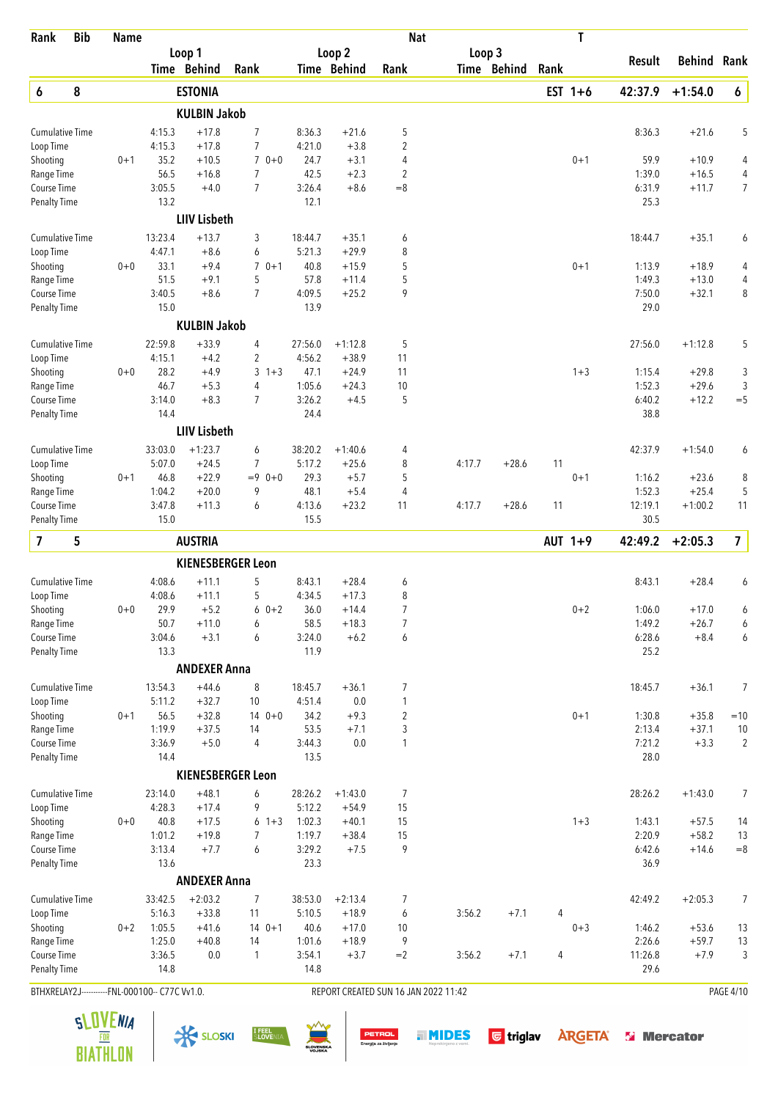| Rank                                | <b>Bib</b> | <b>Name</b>                                    |                   |                      |                           |                   |                      | <b>Nat</b>                           |        |             |      | T         |                  |                    |                     |
|-------------------------------------|------------|------------------------------------------------|-------------------|----------------------|---------------------------|-------------------|----------------------|--------------------------------------|--------|-------------|------|-----------|------------------|--------------------|---------------------|
|                                     |            |                                                |                   | Loop 1               |                           |                   | Loop 2               |                                      |        | Loop 3      |      |           | Result           | <b>Behind Rank</b> |                     |
|                                     |            |                                                |                   | Time Behind          | Rank                      |                   | Time Behind          | Rank                                 |        | Time Behind | Rank |           |                  |                    |                     |
| 6                                   | 8          |                                                |                   | <b>ESTONIA</b>       |                           |                   |                      |                                      |        |             |      | EST $1+6$ | 42:37.9          | $+1:54.0$          | 6                   |
|                                     |            |                                                |                   | <b>KULBIN Jakob</b>  |                           |                   |                      |                                      |        |             |      |           |                  |                    |                     |
| <b>Cumulative Time</b>              |            |                                                | 4:15.3            | $+17.8$              | $\overline{7}$            | 8:36.3            | $+21.6$              | 5                                    |        |             |      |           | 8:36.3           | $+21.6$            | 5                   |
| Loop Time                           |            |                                                | 4:15.3            | $+17.8$              | $\overline{7}$            | 4:21.0            | $+3.8$               | 2                                    |        |             |      |           |                  |                    |                     |
| Shooting                            |            | $0 + 1$                                        | 35.2              | $+10.5$              | $70+0$                    | 24.7              | $+3.1$               | 4                                    |        |             |      | $0 + 1$   | 59.9             | $+10.9$            | 4                   |
| Range Time<br>Course Time           |            |                                                | 56.5<br>3:05.5    | $+16.8$<br>$+4.0$    | 7<br>$\overline{7}$       | 42.5<br>3:26.4    | $+2.3$<br>$+8.6$     | 2<br>$= 8$                           |        |             |      |           | 1:39.0<br>6:31.9 | $+16.5$<br>$+11.7$ | 4<br>$\overline{7}$ |
| <b>Penalty Time</b>                 |            |                                                | 13.2              |                      |                           | 12.1              |                      |                                      |        |             |      |           | 25.3             |                    |                     |
|                                     |            |                                                |                   | <b>LIIV Lisbeth</b>  |                           |                   |                      |                                      |        |             |      |           |                  |                    |                     |
| <b>Cumulative Time</b>              |            |                                                | 13:23.4           | $+13.7$              | 3                         | 18:44.7           | $+35.1$              | 6                                    |        |             |      |           | 18:44.7          | $+35.1$            | 6                   |
| Loop Time                           |            |                                                | 4:47.1            | $+8.6$               | 6                         | 5:21.3            | $+29.9$              | 8                                    |        |             |      |           |                  |                    |                     |
| Shooting                            |            | $0 + 0$                                        | 33.1              | $+9.4$               | $\overline{7}$<br>$0 + 1$ | 40.8              | $+15.9$              | 5                                    |        |             |      | $0 + 1$   | 1:13.9           | $+18.9$            | 4                   |
| Range Time                          |            |                                                | 51.5              | $+9.1$               | 5                         | 57.8              | $+11.4$              | 5                                    |        |             |      |           | 1:49.3           | $+13.0$            | 4                   |
| Course Time                         |            |                                                | 3:40.5            | $+8.6$               | $\overline{7}$            | 4:09.5            | $+25.2$              | 9                                    |        |             |      |           | 7:50.0           | $+32.1$            | 8                   |
| <b>Penalty Time</b>                 |            |                                                | 15.0              |                      |                           | 13.9              |                      |                                      |        |             |      |           | 29.0             |                    |                     |
|                                     |            |                                                |                   | <b>KULBIN Jakob</b>  |                           |                   |                      |                                      |        |             |      |           |                  |                    |                     |
| <b>Cumulative Time</b>              |            |                                                | 22:59.8           | $+33.9$              | 4                         | 27:56.0           | $+1:12.8$            | 5                                    |        |             |      |           | 27:56.0          | $+1:12.8$          | 5                   |
| Loop Time                           |            |                                                | 4:15.1            | $+4.2$               | 2                         | 4:56.2            | $+38.9$              | 11                                   |        |             |      |           |                  |                    |                     |
| Shooting                            |            | $0 + 0$                                        | 28.2              | $+4.9$               | 3<br>$1 + 3$              | 47.1              | $+24.9$              | 11                                   |        |             |      | $1 + 3$   | 1:15.4           | $+29.8$            | 3                   |
| Range Time                          |            |                                                | 46.7              | $+5.3$               | 4                         | 1:05.6            | $+24.3$              | 10                                   |        |             |      |           | 1:52.3           | $+29.6$            | 3                   |
| Course Time<br><b>Penalty Time</b>  |            |                                                | 3:14.0<br>14.4    | $+8.3$               | $\overline{7}$            | 3:26.2<br>24.4    | $+4.5$               | 5                                    |        |             |      |           | 6:40.2<br>38.8   | $+12.2$            | $=$ 5               |
|                                     |            |                                                |                   | <b>LIIV Lisbeth</b>  |                           |                   |                      |                                      |        |             |      |           |                  |                    |                     |
|                                     |            |                                                |                   |                      |                           |                   |                      |                                      |        |             |      |           |                  |                    |                     |
| <b>Cumulative Time</b><br>Loop Time |            |                                                | 33:03.0<br>5:07.0 | $+1:23.7$<br>$+24.5$ | 6<br>$\overline{7}$       | 38:20.2<br>5:17.2 | $+1:40.6$<br>$+25.6$ | 4<br>8                               | 4:17.7 | $+28.6$     | 11   |           | 42:37.9          | $+1:54.0$          | 6                   |
| Shooting                            |            | $0 + 1$                                        | 46.8              | $+22.9$              | $= 9$ 0+0                 | 29.3              | $+5.7$               | 5                                    |        |             |      | $0 + 1$   | 1:16.2           | $+23.6$            | 8                   |
| Range Time                          |            |                                                | 1:04.2            | $+20.0$              | 9                         | 48.1              | $+5.4$               | 4                                    |        |             |      |           | 1:52.3           | $+25.4$            | 5                   |
| Course Time                         |            |                                                | 3:47.8            | $+11.3$              | 6                         | 4:13.6            | $+23.2$              | 11                                   | 4:17.7 | $+28.6$     | 11   |           | 12:19.1          | $+1:00.2$          | 11                  |
| <b>Penalty Time</b>                 |            |                                                | 15.0              |                      |                           | 15.5              |                      |                                      |        |             |      |           | 30.5             |                    |                     |
| $\overline{7}$                      | 5          |                                                |                   | <b>AUSTRIA</b>       |                           |                   |                      |                                      |        |             |      | AUT 1+9   | 42:49.2          | $+2:05.3$          | $\overline{7}$      |
|                                     |            |                                                |                   |                      | <b>KIENESBERGER Leon</b>  |                   |                      |                                      |        |             |      |           |                  |                    |                     |
| <b>Cumulative Time</b>              |            |                                                | 4:08.6            | $+11.1$              | 5                         | 8:43.1            | $+28.4$              | 6                                    |        |             |      |           | 8:43.1           | $+28.4$            | 6                   |
| Loop Time                           |            |                                                | 4:08.6            | $+11.1$              | 5                         | 4:34.5            | $+17.3$              | 8                                    |        |             |      |           |                  |                    |                     |
| Shooting                            |            | $0 + 0$                                        | 29.9              | $+5.2$               | $60+2$                    | 36.0              | $+14.4$              | 7                                    |        |             |      | $0 + 2$   | 1:06.0           | $+17.0$            | 6                   |
| Range Time                          |            |                                                | 50.7              | $+11.0$              | 6                         | 58.5              | $+18.3$              | 7                                    |        |             |      |           | 1:49.2           | $+26.7$            | 6                   |
| Course Time                         |            |                                                | 3:04.6            | $+3.1$               | 6                         | 3:24.0            | $+6.2$               | 6                                    |        |             |      |           | 6:28.6           | $+8.4$             | 6                   |
| <b>Penalty Time</b>                 |            |                                                | 13.3              |                      |                           | 11.9              |                      |                                      |        |             |      |           | 25.2             |                    |                     |
|                                     |            |                                                |                   | <b>ANDEXER Anna</b>  |                           |                   |                      |                                      |        |             |      |           |                  |                    |                     |
| <b>Cumulative Time</b>              |            |                                                | 13:54.3           | $+44.6$              | 8                         | 18:45.7           | $+36.1$              | 7                                    |        |             |      |           | 18:45.7          | $+36.1$            | 7                   |
| Loop Time                           |            |                                                | 5:11.2            | $+32.7$              | 10                        | 4:51.4            | 0.0                  | 1                                    |        |             |      |           |                  |                    |                     |
| Shooting                            |            | $0 + 1$                                        | 56.5              | $+32.8$              | $140+0$                   | 34.2              | $+9.3$               | $\overline{2}$                       |        |             |      | $0 + 1$   | 1:30.8           | $+35.8$            | $=10$               |
| Range Time                          |            |                                                | 1:19.9            | $+37.5$              | 14                        | 53.5              | $+7.1$               | 3                                    |        |             |      |           | 2:13.4           | $+37.1$            | 10                  |
| Course Time                         |            |                                                | 3:36.9<br>14.4    | $+5.0$               | $\overline{4}$            | 3:44.3<br>13.5    | 0.0                  | 1                                    |        |             |      |           | 7:21.2<br>28.0   | $+3.3$             | $\overline{2}$      |
| <b>Penalty Time</b>                 |            |                                                |                   |                      | <b>KIENESBERGER Leon</b>  |                   |                      |                                      |        |             |      |           |                  |                    |                     |
|                                     |            |                                                |                   |                      |                           |                   |                      |                                      |        |             |      |           |                  |                    |                     |
| <b>Cumulative Time</b><br>Loop Time |            |                                                | 23:14.0<br>4:28.3 | $+48.1$<br>$+17.4$   | 6<br>9                    | 28:26.2<br>5:12.2 | $+1:43.0$<br>$+54.9$ | 7<br>15                              |        |             |      |           | 28:26.2          | $+1:43.0$          | 7                   |
| Shooting                            |            | $0 + 0$                                        | 40.8              | $+17.5$              | 6<br>$1 + 3$              | 1:02.3            | $+40.1$              | 15                                   |        |             |      | $1 + 3$   | 1:43.1           | $+57.5$            | 14                  |
| Range Time                          |            |                                                | 1:01.2            | $+19.8$              | 7                         | 1:19.7            | $+38.4$              | 15                                   |        |             |      |           | 2:20.9           | $+58.2$            | 13                  |
| Course Time                         |            |                                                | 3:13.4            | $+7.7$               | 6                         | 3:29.2            | $+7.5$               | 9                                    |        |             |      |           | 6:42.6           | $+14.6$            | $=\!\!8$            |
| <b>Penalty Time</b>                 |            |                                                | 13.6              |                      |                           | 23.3              |                      |                                      |        |             |      |           | 36.9             |                    |                     |
|                                     |            |                                                |                   | <b>ANDEXER Anna</b>  |                           |                   |                      |                                      |        |             |      |           |                  |                    |                     |
| <b>Cumulative Time</b>              |            |                                                | 33:42.5           | $+2:03.2$            | $\overline{7}$            | 38:53.0           | $+2:13.4$            | 7                                    |        |             |      |           | 42:49.2          | $+2:05.3$          | 7                   |
| Loop Time                           |            |                                                | 5:16.3            | $+33.8$              | 11                        | 5:10.5            | $+18.9$              | 6                                    | 3:56.2 | $+7.1$      | 4    |           |                  |                    |                     |
| Shooting                            |            | $0 + 2$                                        | 1:05.5            | $+41.6$              | $140+1$                   | 40.6              | $+17.0$              | 10                                   |        |             |      | $0 + 3$   | 1:46.2           | $+53.6$            | 13                  |
| Range Time                          |            |                                                | 1:25.0            | $+40.8$              | 14                        | 1:01.6            | $+18.9$              | 9                                    |        |             |      |           | 2:26.6           | $+59.7$            | 13                  |
| Course Time                         |            |                                                | 3:36.5            | 0.0                  | 1                         | 3:54.1            | $+3.7$               | $=2$                                 | 3:56.2 | $+7.1$      | 4    |           | 11:26.8          | $+7.9$             | 3                   |
| <b>Penalty Time</b>                 |            |                                                | 14.8              |                      |                           | 14.8              |                      |                                      |        |             |      |           | 29.6             |                    |                     |
|                                     |            | BTHXRELAY2J-----------FNL-000100-- C77C Vv1.0. |                   |                      |                           |                   |                      | REPORT CREATED SUN 16 JAN 2022 11:42 |        |             |      |           |                  |                    | <b>PAGE 4/10</b>    |

**BIATHLON** 



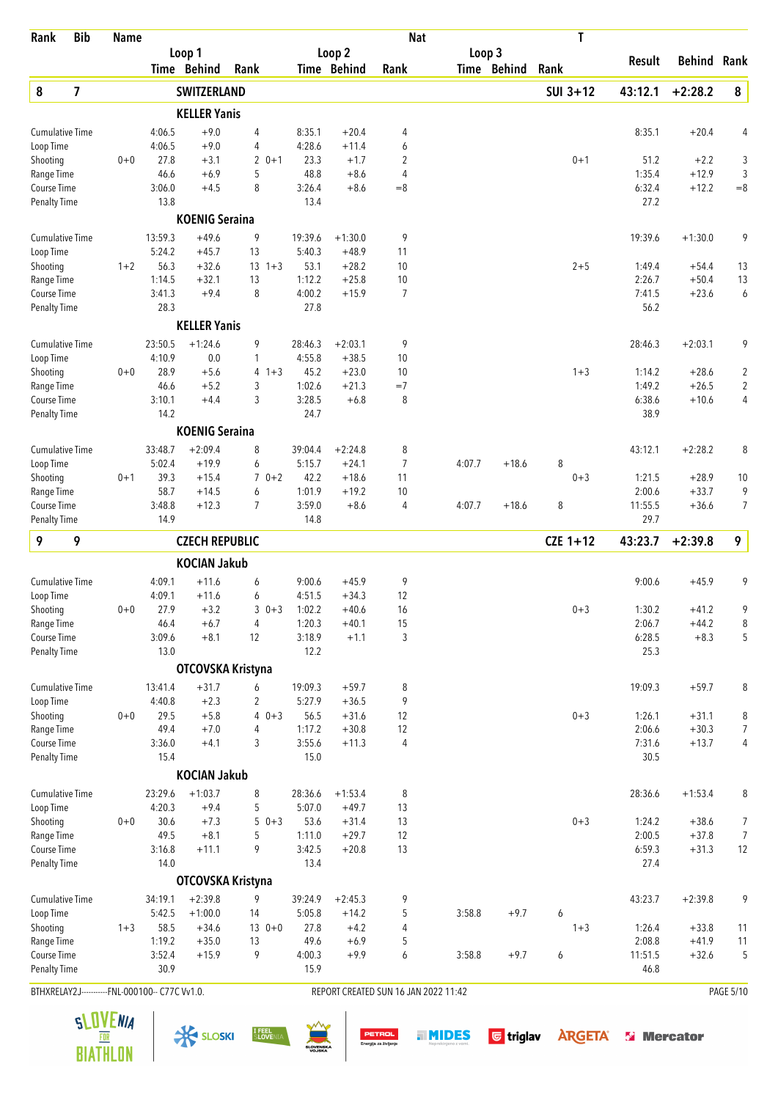| Rank                                           | <b>Bib</b> | <b>Name</b> |                   |                        |                                |                   |                      | <b>Nat</b>                           |        |             | T          |                   |                    |                  |
|------------------------------------------------|------------|-------------|-------------------|------------------------|--------------------------------|-------------------|----------------------|--------------------------------------|--------|-------------|------------|-------------------|--------------------|------------------|
|                                                |            |             |                   | Loop 1                 |                                |                   | Loop 2               |                                      | Loop 3 |             |            | Result            | <b>Behind Rank</b> |                  |
|                                                |            |             |                   | Time Behind            | Rank                           |                   | <b>Time Behind</b>   | Rank                                 |        | Time Behind | Rank       |                   |                    |                  |
| 8                                              | 7          |             |                   | <b>SWITZERLAND</b>     |                                |                   |                      |                                      |        |             | $SUI$ 3+12 | 43:12.1           | $+2:28.2$          | 8                |
|                                                |            |             |                   | <b>KELLER Yanis</b>    |                                |                   |                      |                                      |        |             |            |                   |                    |                  |
| <b>Cumulative Time</b>                         |            |             | 4:06.5            | $+9.0$                 | 4                              | 8:35.1            | $+20.4$              | 4                                    |        |             |            | 8:35.1            | $+20.4$            | 4                |
| Loop Time<br>Shooting                          |            | $0 + 0$     | 4:06.5<br>27.8    | $+9.0$<br>$+3.1$       | 4<br>$\overline{2}$<br>$0 + 1$ | 4:28.6<br>23.3    | $+11.4$<br>$+1.7$    | 6<br>$\overline{c}$                  |        |             | $0 + 1$    | 51.2              | $+2.2$             | 3                |
| Range Time                                     |            |             | 46.6              | $+6.9$                 | 5                              | 48.8              | $+8.6$               | 4                                    |        |             |            | 1:35.4            | $+12.9$            | 3                |
| Course Time                                    |            |             | 3:06.0            | $+4.5$                 | 8                              | 3:26.4            | $+8.6$               | $= 8$                                |        |             |            | 6:32.4            | $+12.2$            | $=8$             |
| <b>Penalty Time</b>                            |            |             | 13.8              |                        |                                | 13.4              |                      |                                      |        |             |            | 27.2              |                    |                  |
|                                                |            |             |                   | <b>KOENIG Seraina</b>  |                                |                   |                      |                                      |        |             |            |                   |                    |                  |
| <b>Cumulative Time</b>                         |            |             | 13:59.3           | $+49.6$                | 9                              | 19:39.6           | $+1:30.0$            | 9                                    |        |             |            | 19:39.6           | $+1:30.0$          | 9                |
| Loop Time                                      |            |             | 5:24.2            | $+45.7$                | 13                             | 5:40.3            | $+48.9$              | 11                                   |        |             |            |                   |                    |                  |
| Shooting                                       |            | $1 + 2$     | 56.3              | $+32.6$                | $13 + 3$                       | 53.1              | $+28.2$              | 10                                   |        |             | $2 + 5$    | 1:49.4            | $+54.4$            | 13               |
| Range Time                                     |            |             | 1:14.5            | $+32.1$                | 13                             | 1:12.2            | $+25.8$              | 10                                   |        |             |            | 2:26.7            | $+50.4$            | 13               |
| Course Time<br><b>Penalty Time</b>             |            |             | 3:41.3<br>28.3    | $+9.4$                 | 8                              | 4:00.2<br>27.8    | $+15.9$              | $\overline{7}$                       |        |             |            | 7:41.5<br>56.2    | $+23.6$            | 6                |
|                                                |            |             |                   | <b>KELLER Yanis</b>    |                                |                   |                      |                                      |        |             |            |                   |                    |                  |
| <b>Cumulative Time</b>                         |            |             | 23:50.5           | $+1:24.6$              | 9                              | 28:46.3           | $+2:03.1$            | 9                                    |        |             |            | 28:46.3           | $+2:03.1$          | 9                |
| Loop Time                                      |            |             | 4:10.9            | $0.0\,$                | 1                              | 4:55.8            | $+38.5$              | 10                                   |        |             |            |                   |                    |                  |
| Shooting                                       |            | $0 + 0$     | 28.9              | $+5.6$                 | 4<br>$1 + 3$                   | 45.2              | $+23.0$              | 10                                   |        |             | $1 + 3$    | 1:14.2            | $+28.6$            | $\boldsymbol{2}$ |
| Range Time                                     |            |             | 46.6              | $+5.2$                 | 3                              | 1:02.6            | $+21.3$              | $=7$                                 |        |             |            | 1:49.2            | $+26.5$            | $\overline{2}$   |
| Course Time                                    |            |             | 3:10.1            | $+4.4$                 | 3                              | 3:28.5            | $+6.8$               | 8                                    |        |             |            | 6:38.6            | $+10.6$            | 4                |
| <b>Penalty Time</b>                            |            |             | 14.2              |                        |                                | 24.7              |                      |                                      |        |             |            | 38.9              |                    |                  |
|                                                |            |             |                   | <b>KOENIG Seraina</b>  |                                |                   |                      |                                      |        |             |            |                   |                    |                  |
| <b>Cumulative Time</b>                         |            |             | 33:48.7           | $+2:09.4$              | 8                              | 39:04.4           | $+2:24.8$            | 8                                    |        |             |            | 43:12.1           | $+2:28.2$          | 8                |
| Loop Time                                      |            |             | 5:02.4            | $+19.9$                | 6                              | 5:15.7            | $+24.1$              | 7                                    | 4:07.7 | $+18.6$     | 8          |                   |                    |                  |
| Shooting                                       |            | $0 + 1$     | 39.3              | $+15.4$                | $\overline{7}$<br>$0 + 2$      | 42.2              | $+18.6$              | 11                                   |        |             | $0 + 3$    | 1:21.5            | $+28.9$            | 10               |
| Range Time<br>Course Time                      |            |             | 58.7<br>3:48.8    | $+14.5$<br>$+12.3$     | 6<br>7                         | 1:01.9<br>3:59.0  | $+19.2$<br>$+8.6$    | 10<br>4                              | 4:07.7 | $+18.6$     | 8          | 2:00.6<br>11:55.5 | $+33.7$<br>$+36.6$ | 9<br>7           |
| <b>Penalty Time</b>                            |            |             | 14.9              |                        |                                | 14.8              |                      |                                      |        |             |            | 29.7              |                    |                  |
| 9                                              | 9          |             |                   | <b>CZECH REPUBLIC</b>  |                                |                   |                      |                                      |        |             | $CZE$ 1+12 | 43:23.7           | $+2:39.8$          | 9                |
|                                                |            |             |                   | <b>KOCIAN Jakub</b>    |                                |                   |                      |                                      |        |             |            |                   |                    |                  |
| <b>Cumulative Time</b>                         |            |             | 4:09.1            | $+11.6$                | 6                              | 9:00.6            | $+45.9$              | 9                                    |        |             |            | 9:00.6            | $+45.9$            | 9                |
| Loop Time                                      |            |             | 4:09.1            | $+11.6$                | 6                              | 4:51.5            | $+34.3$              | 12                                   |        |             |            |                   |                    |                  |
| Shooting                                       |            | $0 + 0$     | 27.9              | $+3.2$                 | $30+3$                         | 1:02.2            | $+40.6$              | 16                                   |        |             | $0 + 3$    | 1:30.2            | $+41.2$            | 9                |
| Range Time                                     |            |             | 46.4              | $+6.7$                 | 4                              | 1:20.3            | $+40.1$              | 15                                   |        |             |            | 2:06.7            | $+44.2$            | 8                |
| Course Time                                    |            |             | 3:09.6            | $+8.1$                 | 12                             | 3:18.9            | $+1.1$               | 3                                    |        |             |            | 6:28.5            | $+8.3$             | 5                |
| <b>Penalty Time</b>                            |            |             | 13.0              |                        |                                | 12.2              |                      |                                      |        |             |            | 25.3              |                    |                  |
|                                                |            |             |                   | OTCOVSKA Kristyna      |                                |                   |                      |                                      |        |             |            |                   |                    |                  |
| Cumulative Time                                |            |             | 13:41.4           | $+31.7$                | 6                              | 19:09.3           | $+59.7$              | 8                                    |        |             |            | 19:09.3           | $+59.7$            | 8                |
| Loop Time                                      |            | $0 + 0$     | 4:40.8<br>29.5    | $+2.3$<br>$+5.8$       | $\overline{2}$<br>$40+3$       | 5:27.9<br>56.5    | $+36.5$<br>$+31.6$   | 9<br>12                              |        |             | $0 + 3$    | 1:26.1            | $+31.1$            | 8                |
| Shooting<br>Range Time                         |            |             | 49.4              | $+7.0$                 | 4                              | 1:17.2            | $+30.8$              | 12                                   |        |             |            | 2:06.6            | $+30.3$            | $\overline{7}$   |
| Course Time                                    |            |             | 3:36.0            | $+4.1$                 | 3                              | 3:55.6            | $+11.3$              | 4                                    |        |             |            | 7:31.6            | $+13.7$            | 4                |
| <b>Penalty Time</b>                            |            |             | 15.4              |                        |                                | 15.0              |                      |                                      |        |             |            | 30.5              |                    |                  |
|                                                |            |             |                   | <b>KOCIAN Jakub</b>    |                                |                   |                      |                                      |        |             |            |                   |                    |                  |
| Cumulative Time                                |            |             | 23:29.6           | $+1:03.7$              | 8                              | 28:36.6           | $+1:53.4$            | 8                                    |        |             |            | 28:36.6           | $+1:53.4$          | 8                |
| Loop Time                                      |            |             | 4:20.3            | $+9.4$                 | 5                              | 5:07.0            | $+49.7$              | 13                                   |        |             |            |                   |                    |                  |
| Shooting                                       |            | $0 + 0$     | 30.6              | $+7.3$                 | 5<br>$0 + 3$                   | 53.6              | $+31.4$              | 13                                   |        |             | $0 + 3$    | 1:24.2            | $+38.6$            | 7                |
| Range Time                                     |            |             | 49.5              | $+8.1$                 | 5                              | 1:11.0            | $+29.7$              | 12                                   |        |             |            | 2:00.5            | $+37.8$            | $\overline{7}$   |
| Course Time                                    |            |             | 3:16.8            | $+11.1$                | 9                              | 3:42.5            | $+20.8$              | 13                                   |        |             |            | 6:59.3            | $+31.3$            | 12               |
| <b>Penalty Time</b>                            |            |             | 14.0              |                        |                                | 13.4              |                      |                                      |        |             |            | 27.4              |                    |                  |
|                                                |            |             |                   | OTCOVSKA Kristyna      |                                |                   |                      |                                      |        |             |            |                   |                    |                  |
| <b>Cumulative Time</b>                         |            |             | 34:19.1<br>5:42.5 | $+2:39.8$<br>$+1:00.0$ | 9<br>14                        | 39:24.9<br>5:05.8 | $+2:45.3$<br>$+14.2$ | 9<br>5                               | 3:58.8 | $+9.7$      | 6          | 43:23.7           | $+2:39.8$          | 9                |
| Loop Time<br>Shooting                          |            | $1 + 3$     | 58.5              | $+34.6$                | $130+0$                        | 27.8              | $+4.2$               | 4                                    |        |             | $1 + 3$    | 1:26.4            | $+33.8$            | 11               |
| Range Time                                     |            |             | 1:19.2            | $+35.0$                | 13                             | 49.6              | $+6.9$               | 5                                    |        |             |            | 2:08.8            | $+41.9$            | 11               |
| Course Time                                    |            |             | 3:52.4            | $+15.9$                | 9                              | 4:00.3            | $+9.9$               | 6                                    | 3:58.8 | $+9.7$      | 6          | 11:51.5           | $+32.6$            | 5                |
| <b>Penalty Time</b>                            |            |             | 30.9              |                        |                                | 15.9              |                      |                                      |        |             |            | 46.8              |                    |                  |
| BTHXRELAY2J-----------FNL-000100-- C77C Vv1.0. |            |             |                   |                        |                                |                   |                      | REPORT CREATED SUN 16 JAN 2022 11:42 |        |             |            |                   |                    | <b>PAGE 5/10</b> |

 $\frac{1}{\sqrt{2}}$  SLOSKI SLOSKI SLOVENIA SUN DETROL SUNDES G triglav ARGETA SI Mercator



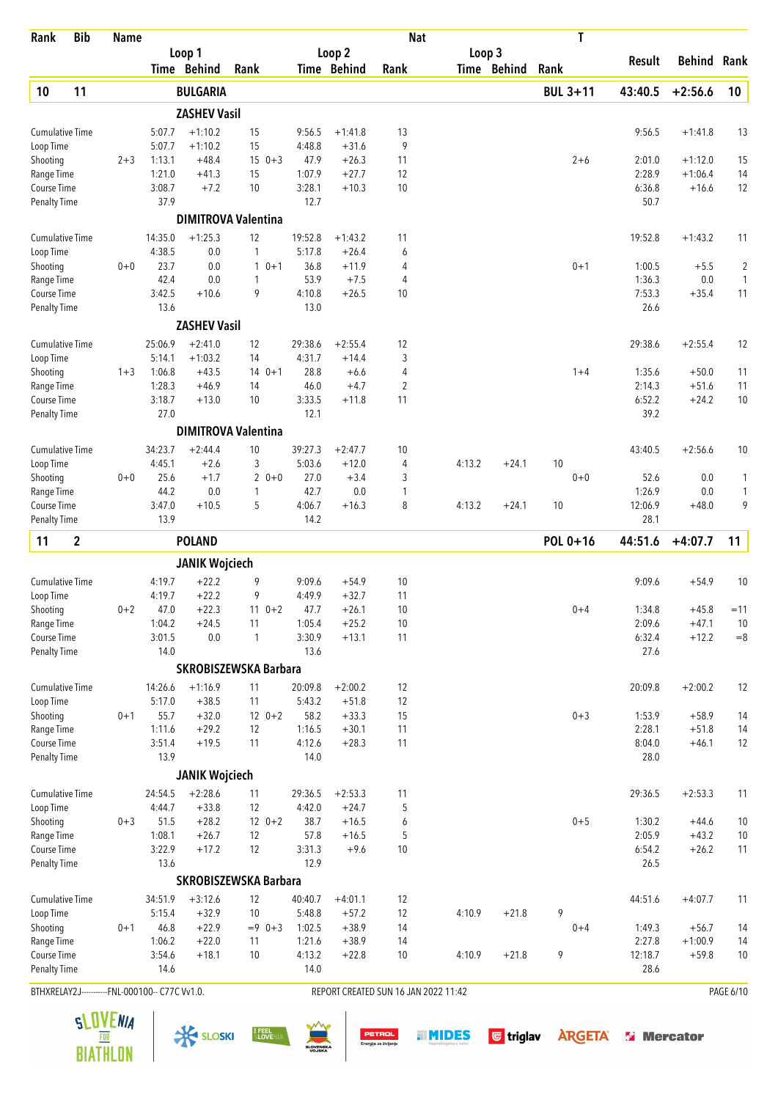| Rank                                           | <b>Bib</b>  | <b>Name</b> |                   |                       |                              |                   |                      | <b>Nat</b>                           |        |             | T               |                |           |                         |
|------------------------------------------------|-------------|-------------|-------------------|-----------------------|------------------------------|-------------------|----------------------|--------------------------------------|--------|-------------|-----------------|----------------|-----------|-------------------------|
|                                                |             |             |                   | Loop 1                |                              |                   | Loop <sub>2</sub>    |                                      | Loop 3 |             |                 | Result         | Behind    | Rank                    |
|                                                |             |             |                   | Time Behind           | Rank                         |                   | Time Behind          | Rank                                 |        | Time Behind | Rank            |                |           |                         |
| 10                                             | 11          |             |                   | <b>BULGARIA</b>       |                              |                   |                      |                                      |        |             | <b>BUL 3+11</b> | 43:40.5        | $+2:56.6$ | 10                      |
|                                                |             |             |                   | <b>ZASHEV Vasil</b>   |                              |                   |                      |                                      |        |             |                 |                |           |                         |
| <b>Cumulative Time</b>                         |             |             | 5:07.7            | $+1:10.2$             | 15                           | 9:56.5            | $+1:41.8$            | 13                                   |        |             |                 | 9:56.5         | $+1:41.8$ | 13                      |
| Loop Time                                      |             |             | 5:07.7            | $+1:10.2$             | 15                           | 4:48.8            | $+31.6$              | 9                                    |        |             |                 |                |           |                         |
| Shooting                                       |             | $2 + 3$     | 1:13.1            | $+48.4$               | $150+3$                      | 47.9              | $+26.3$              | 11                                   |        |             | $2 + 6$         | 2:01.0         | $+1:12.0$ | 15                      |
| Range Time<br>Course Time                      |             |             | 1:21.0<br>3:08.7  | $+41.3$               | 15                           | 1:07.9<br>3:28.1  | $+27.7$              | 12<br>10                             |        |             |                 | 2:28.9         | $+1:06.4$ | 14                      |
| <b>Penalty Time</b>                            |             |             | 37.9              | $+7.2$                | 10                           | 12.7              | $+10.3$              |                                      |        |             |                 | 6:36.8<br>50.7 | $+16.6$   | 12                      |
|                                                |             |             |                   |                       | <b>DIMITROVA Valentina</b>   |                   |                      |                                      |        |             |                 |                |           |                         |
|                                                |             |             | 14:35.0           | $+1:25.3$             | 12                           | 19:52.8           |                      |                                      |        |             |                 | 19:52.8        | $+1:43.2$ |                         |
| <b>Cumulative Time</b><br>Loop Time            |             |             | 4:38.5            | 0.0                   | 1                            | 5:17.8            | $+1:43.2$<br>$+26.4$ | 11<br>6                              |        |             |                 |                |           | 11                      |
| Shooting                                       |             | $0 + 0$     | 23.7              | 0.0                   | $10+1$                       | 36.8              | $+11.9$              | 4                                    |        |             | $0 + 1$         | 1:00.5         | $+5.5$    | $\overline{\mathbf{c}}$ |
| Range Time                                     |             |             | 42.4              | 0.0                   | 1                            | 53.9              | $+7.5$               | 4                                    |        |             |                 | 1:36.3         | 0.0       | $\mathbf{1}$            |
| Course Time                                    |             |             | 3:42.5            | $+10.6$               | 9                            | 4:10.8            | $+26.5$              | 10                                   |        |             |                 | 7:53.3         | $+35.4$   | 11                      |
| <b>Penalty Time</b>                            |             |             | 13.6              |                       |                              | 13.0              |                      |                                      |        |             |                 | 26.6           |           |                         |
|                                                |             |             |                   | <b>ZASHEV Vasil</b>   |                              |                   |                      |                                      |        |             |                 |                |           |                         |
| <b>Cumulative Time</b>                         |             |             | 25:06.9           | $+2:41.0$             | 12                           | 29:38.6           | $+2:55.4$            | 12                                   |        |             |                 | 29:38.6        | $+2:55.4$ | 12                      |
| Loop Time                                      |             |             | 5:14.1            | $+1:03.2$             | 14                           | 4:31.7            | $+14.4$              | 3                                    |        |             |                 |                |           |                         |
| Shooting                                       |             | $1 + 3$     | 1:06.8            | $+43.5$               | $140+1$                      | 28.8              | $+6.6$               | 4                                    |        |             | $1 + 4$         | 1:35.6         | $+50.0$   | 11                      |
| Range Time                                     |             |             | 1:28.3            | $+46.9$               | 14                           | 46.0              | $+4.7$               | 2                                    |        |             |                 | 2:14.3         | $+51.6$   | 11                      |
| Course Time<br><b>Penalty Time</b>             |             |             | 3:18.7<br>27.0    | $+13.0$               | 10                           | 3:33.5<br>12.1    | $+11.8$              | 11                                   |        |             |                 | 6:52.2<br>39.2 | $+24.2$   | 10                      |
|                                                |             |             |                   |                       | <b>DIMITROVA Valentina</b>   |                   |                      |                                      |        |             |                 |                |           |                         |
| <b>Cumulative Time</b>                         |             |             | 34:23.7           | $+2:44.4$             | 10                           | 39:27.3           | $+2:47.7$            | 10                                   |        |             |                 | 43:40.5        | $+2:56.6$ | 10                      |
| Loop Time                                      |             |             | 4:45.1            | $+2.6$                | 3                            | 5:03.6            | $+12.0$              | 4                                    | 4:13.2 | $+24.1$     | 10              |                |           |                         |
| Shooting                                       |             | $0+0$       | 25.6              | $+1.7$                | $20+0$                       | 27.0              | $+3.4$               | 3                                    |        |             | $0+0$           | 52.6           | 0.0       | 1                       |
| Range Time                                     |             |             | 44.2              | 0.0                   | 1                            | 42.7              | 0.0                  | 1                                    |        |             |                 | 1:26.9         | 0.0       | 1                       |
| Course Time                                    |             |             | 3:47.0            | $+10.5$               | 5                            | 4:06.7            | $+16.3$              | 8                                    | 4:13.2 | $+24.1$     | 10              | 12:06.9        | $+48.0$   | 9                       |
| <b>Penalty Time</b>                            |             |             | 13.9              |                       |                              | 14.2              |                      |                                      |        |             |                 | 28.1           |           |                         |
| 11                                             | $\mathbf 2$ |             |                   | <b>POLAND</b>         |                              |                   |                      |                                      |        |             | POL 0+16        | 44:51.6        | $+4:07.7$ | 11                      |
|                                                |             |             |                   | <b>JANIK Wojciech</b> |                              |                   |                      |                                      |        |             |                 |                |           |                         |
| <b>Cumulative Time</b>                         |             |             | 4:19.7            | $+22.2$               | 9                            | 9:09.6            | $+54.9$              | 10                                   |        |             |                 | 9:09.6         | $+54.9$   | 10                      |
| Loop Time                                      |             |             | 4:19.7            | $+22.2$               | 9                            | 4:49.9            | $+32.7$              | 11                                   |        |             |                 |                |           |                         |
| Shooting                                       |             | $0 + 2$     | 47.0              | $+22.3$               | $11 \t 0+2$                  | 47.7              | $+26.1$              | 10                                   |        |             | $0 + 4$         | 1:34.8         | $+45.8$   | $=11$                   |
| Range Time                                     |             |             | 1:04.2            | $+24.5$               | 11                           | 1:05.4            | $+25.2$              | 10                                   |        |             |                 | 2:09.6         | $+47.1$   | 10                      |
| Course Time<br>Penalty Time                    |             |             | 3:01.5<br>14.0    | $0.0\,$               | 1                            | 3:30.9<br>13.6    | $+13.1$              | 11                                   |        |             |                 | 6:32.4<br>27.6 | $+12.2$   | $=\!\!8$                |
|                                                |             |             |                   |                       | <b>SKROBISZEWSKA Barbara</b> |                   |                      |                                      |        |             |                 |                |           |                         |
|                                                |             |             |                   |                       |                              |                   |                      |                                      |        |             |                 |                |           |                         |
| Cumulative Time<br>Loop Time                   |             |             | 14:26.6<br>5:17.0 | $+1:16.9$<br>$+38.5$  | 11<br>11                     | 20:09.8<br>5:43.2 | $+2:00.2$<br>$+51.8$ | 12<br>12                             |        |             |                 | 20:09.8        | $+2:00.2$ | 12                      |
| Shooting                                       |             | $0 + 1$     | 55.7              | $+32.0$               | $12 \t 0+2$                  | 58.2              | $+33.3$              | 15                                   |        |             | $0 + 3$         | 1:53.9         | $+58.9$   | 14                      |
| Range Time                                     |             |             | 1:11.6            | $+29.2$               | 12                           | 1:16.5            | $+30.1$              | 11                                   |        |             |                 | 2:28.1         | $+51.8$   | 14                      |
| Course Time                                    |             |             | 3:51.4            | $+19.5$               | 11                           | 4:12.6            | $+28.3$              | 11                                   |        |             |                 | 8:04.0         | $+46.1$   | 12                      |
| Penalty Time                                   |             |             | 13.9              |                       |                              | 14.0              |                      |                                      |        |             |                 | 28.0           |           |                         |
|                                                |             |             |                   | <b>JANIK Wojciech</b> |                              |                   |                      |                                      |        |             |                 |                |           |                         |
| Cumulative Time                                |             |             | 24:54.5           | $+2:28.6$             | 11                           | 29:36.5           | $+2:53.3$            | 11                                   |        |             |                 | 29:36.5        | $+2:53.3$ | 11                      |
| Loop Time                                      |             |             | 4:44.7            | $+33.8$               | 12                           | 4:42.0            | $+24.7$              | 5                                    |        |             |                 |                |           |                         |
| Shooting                                       |             | $0 + 3$     | 51.5              | $+28.2$               | $12 \t 0+2$                  | 38.7              | $+16.5$              | 6                                    |        |             | $0 + 5$         | 1:30.2         | $+44.6$   | $10$                    |
| Range Time                                     |             |             | 1:08.1            | $+26.7$               | 12                           | 57.8              | $+16.5$              | 5                                    |        |             |                 | 2:05.9         | $+43.2$   | $10$                    |
| Course Time<br><b>Penalty Time</b>             |             |             | 3:22.9<br>13.6    | $+17.2$               | 12                           | 3:31.3<br>12.9    | $+9.6$               | 10                                   |        |             |                 | 6:54.2<br>26.5 | $+26.2$   | 11                      |
|                                                |             |             |                   |                       | <b>SKROBISZEWSKA Barbara</b> |                   |                      |                                      |        |             |                 |                |           |                         |
| <b>Cumulative Time</b>                         |             |             | 34:51.9           | $+3:12.6$             | 12                           | 40:40.7           | $+4:01.1$            | 12                                   |        |             |                 | 44:51.6        | $+4:07.7$ | 11                      |
| Loop Time                                      |             |             | 5:15.4            | $+32.9$               | 10                           | 5:48.8            | $+57.2$              | 12                                   | 4:10.9 | $+21.8$     | 9               |                |           |                         |
| Shooting                                       |             | $0 + 1$     | 46.8              | $+22.9$               | $= 9$ 0+3                    | 1:02.5            | $+38.9$              | 14                                   |        |             | $0 + 4$         | 1:49.3         | $+56.7$   | 14                      |
| Range Time                                     |             |             | 1:06.2            | $+22.0$               | 11                           | 1:21.6            | $+38.9$              | 14                                   |        |             |                 | 2:27.8         | $+1:00.9$ | 14                      |
| Course Time                                    |             |             | 3:54.6            | $+18.1$               | 10                           | 4:13.2            | $+22.8$              | 10                                   | 4:10.9 | $+21.8$     | 9               | 12:18.7        | $+59.8$   | $10$                    |
| <b>Penalty Time</b>                            |             |             | 14.6              |                       |                              | 14.0              |                      |                                      |        |             |                 | 28.6           |           |                         |
| BTHXRELAY2J-----------FNL-000100-- C77C Vv1.0. |             |             |                   |                       |                              |                   |                      | REPORT CREATED SUN 16 JAN 2022 11:42 |        |             |                 |                |           | PAGE 6/10               |

 $\frac{1}{\sqrt{2}}$  SLOSKI  $\frac{1}{2}$  SLOSKI  $\frac{1}{2}$   $\frac{1}{2}$   $\frac{1}{2}$   $\frac{1}{2}$   $\frac{1}{2}$   $\frac{1}{2}$   $\frac{1}{2}$   $\frac{1}{2}$   $\frac{1}{2}$   $\frac{1}{2}$   $\frac{1}{2}$   $\frac{1}{2}$   $\frac{1}{2}$   $\frac{1}{2}$   $\frac{1}{2}$   $\frac{1}{2}$   $\frac{1}{2}$   $\frac{1}{2}$   $\frac{$ 





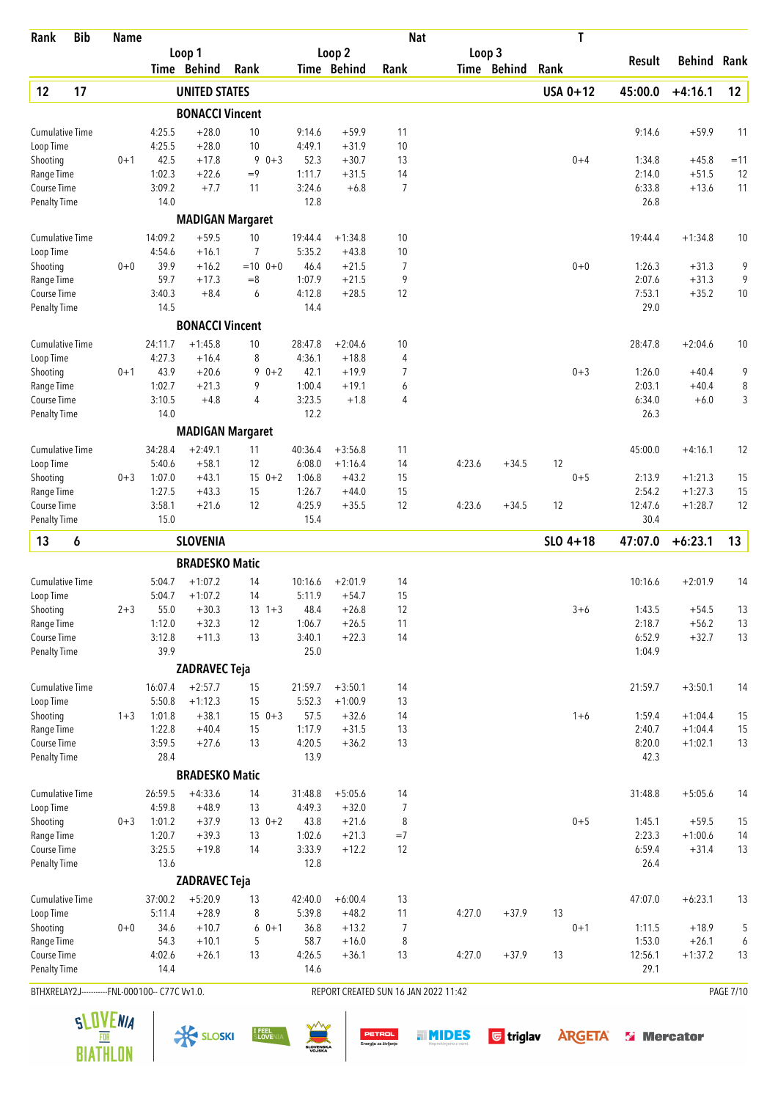| Rank                                           | <b>Bib</b> | <b>Name</b> |                   |                         |                      |                   |                      | <b>Nat</b>                           |        |             | T          |                  |                    |                  |
|------------------------------------------------|------------|-------------|-------------------|-------------------------|----------------------|-------------------|----------------------|--------------------------------------|--------|-------------|------------|------------------|--------------------|------------------|
|                                                |            |             |                   | Loop 1                  |                      |                   | Loop 2               |                                      | Loop 3 |             |            | Result           | Behind             | Rank             |
|                                                |            |             |                   | Time Behind             | Rank                 |                   | <b>Time Behind</b>   | Rank                                 |        | Time Behind | Rank       |                  |                    |                  |
| 12                                             | 17         |             |                   | <b>UNITED STATES</b>    |                      |                   |                      |                                      |        |             | USA 0+12   | 45:00.0          | $+4:16.1$          | 12               |
|                                                |            |             |                   | <b>BONACCI Vincent</b>  |                      |                   |                      |                                      |        |             |            |                  |                    |                  |
| <b>Cumulative Time</b>                         |            |             | 4:25.5            | $+28.0$                 | 10                   | 9:14.6            | $+59.9$              | 11                                   |        |             |            | 9:14.6           | $+59.9$            | 11               |
| Loop Time                                      |            |             | 4:25.5            | $+28.0$                 | 10                   | 4:49.1            | $+31.9$              | 10                                   |        |             |            |                  |                    |                  |
| Shooting<br>Range Time                         |            | $0 + 1$     | 42.5<br>1:02.3    | $+17.8$<br>$+22.6$      | 9<br>$0 + 3$<br>$=9$ | 52.3<br>1:11.7    | $+30.7$<br>$+31.5$   | 13<br>14                             |        |             | $0 + 4$    | 1:34.8<br>2:14.0 | $+45.8$<br>$+51.5$ | $=11$<br>12      |
| Course Time                                    |            |             | 3:09.2            | $+7.7$                  | 11                   | 3:24.6            | $+6.8$               | $\overline{7}$                       |        |             |            | 6:33.8           | $+13.6$            | 11               |
| Penalty Time                                   |            |             | 14.0              |                         |                      | 12.8              |                      |                                      |        |             |            | 26.8             |                    |                  |
|                                                |            |             |                   | <b>MADIGAN Margaret</b> |                      |                   |                      |                                      |        |             |            |                  |                    |                  |
| <b>Cumulative Time</b>                         |            |             | 14:09.2           | $+59.5$                 | 10                   | 19:44.4           | $+1:34.8$            | 10                                   |        |             |            | 19:44.4          | $+1:34.8$          | 10               |
| Loop Time                                      |            |             | 4:54.6            | $+16.1$                 | 7                    | 5:35.2            | $+43.8$              | 10                                   |        |             |            |                  |                    |                  |
| Shooting                                       |            | $0 + 0$     | 39.9              | $+16.2$                 | $=10$ 0+0            | 46.4              | $+21.5$              | 7                                    |        |             | $0 + 0$    | 1:26.3           | $+31.3$            | 9                |
| Range Time                                     |            |             | 59.7              | $+17.3$                 | $= 8$                | 1:07.9            | $+21.5$              | 9                                    |        |             |            | 2:07.6           | $+31.3$            | 9                |
| Course Time                                    |            |             | 3:40.3            | $+8.4$                  | 6                    | 4:12.8            | $+28.5$              | 12                                   |        |             |            | 7:53.1           | $+35.2$            | 10               |
| <b>Penalty Time</b>                            |            |             | 14.5              |                         |                      | 14.4              |                      |                                      |        |             |            | 29.0             |                    |                  |
|                                                |            |             |                   | <b>BONACCI Vincent</b>  |                      |                   |                      |                                      |        |             |            |                  |                    |                  |
| <b>Cumulative Time</b>                         |            |             | 24:11.7<br>4:27.3 | $+1:45.8$<br>$+16.4$    | 10<br>8              | 28:47.8<br>4:36.1 | $+2:04.6$<br>$+18.8$ | 10<br>4                              |        |             |            | 28:47.8          | $+2:04.6$          | 10               |
| Loop Time<br>Shooting                          |            | $0 + 1$     | 43.9              | $+20.6$                 | 9<br>$0 + 2$         | 42.1              | $+19.9$              | 7                                    |        |             | $0 + 3$    | 1:26.0           | $+40.4$            | 9                |
| Range Time                                     |            |             | 1:02.7            | $+21.3$                 | 9                    | 1:00.4            | $+19.1$              | 6                                    |        |             |            | 2:03.1           | $+40.4$            | 8                |
| Course Time                                    |            |             | 3:10.5            | $+4.8$                  | 4                    | 3:23.5            | $+1.8$               | 4                                    |        |             |            | 6:34.0           | $+6.0$             | 3                |
| <b>Penalty Time</b>                            |            |             | 14.0              |                         |                      | 12.2              |                      |                                      |        |             |            | 26.3             |                    |                  |
|                                                |            |             |                   | <b>MADIGAN Margaret</b> |                      |                   |                      |                                      |        |             |            |                  |                    |                  |
| <b>Cumulative Time</b>                         |            |             | 34:28.4           | $+2:49.1$               | 11                   | 40:36.4           | $+3:56.8$            | 11                                   |        |             |            | 45:00.0          | $+4:16.1$          | 12               |
| Loop Time                                      |            |             | 5:40.6            | $+58.1$                 | 12                   | 6:08.0            | $+1:16.4$            | 14                                   | 4:23.6 | $+34.5$     | 12         |                  |                    |                  |
| Shooting                                       |            | $0 + 3$     | 1:07.0            | $+43.1$                 | $15 \t 0+2$          | 1:06.8            | $+43.2$              | 15                                   |        |             | $0 + 5$    | 2:13.9           | $+1:21.3$          | 15               |
| Range Time                                     |            |             | 1:27.5            | $+43.3$                 | 15                   | 1:26.7            | $+44.0$              | 15                                   |        |             |            | 2:54.2           | $+1:27.3$          | 15               |
| Course Time<br><b>Penalty Time</b>             |            |             | 3:58.1<br>15.0    | $+21.6$                 | 12                   | 4:25.9<br>15.4    | $+35.5$              | 12                                   | 4:23.6 | $+34.5$     | 12         | 12:47.6<br>30.4  | $+1:28.7$          | 12               |
| 13                                             | 6          |             |                   | <b>SLOVENIA</b>         |                      |                   |                      |                                      |        |             | $SLO$ 4+18 | 47:07.0          | $+6:23.1$          | 13               |
|                                                |            |             |                   | <b>BRADESKO Matic</b>   |                      |                   |                      |                                      |        |             |            |                  |                    |                  |
| <b>Cumulative Time</b>                         |            |             | 5:04.7            | $+1:07.2$               | 14                   | 10:16.6           | $+2:01.9$            | 14                                   |        |             |            | 10:16.6          | $+2:01.9$          | 14               |
| Loop Time                                      |            |             | 5:04.7            | $+1:07.2$               | 14                   | 5:11.9            | $+54.7$              | 15                                   |        |             |            |                  |                    |                  |
| Shooting                                       |            | $2 + 3$     | 55.0              | $+30.3$                 | $13 + 3$             | 48.4              | $+26.8$              | 12                                   |        |             | $3 + 6$    | 1:43.5           | $+54.5$            | 13               |
| Range Time                                     |            |             | 1:12.0            | $+32.3$                 | 12                   | 1:06.7            | $+26.5$              | 11                                   |        |             |            | 2:18.7           | $+56.2$            | 13               |
| Course Time                                    |            |             | 3:12.8            | $+11.3$                 | 13                   | 3:40.1            | $+22.3$              | 14                                   |        |             |            | 6:52.9           | $+32.7$            | 13               |
| <b>Penalty Time</b>                            |            |             | 39.9              |                         |                      | 25.0              |                      |                                      |        |             |            | 1:04.9           |                    |                  |
|                                                |            |             |                   | <b>ZADRAVEC Teja</b>    |                      |                   |                      |                                      |        |             |            |                  |                    |                  |
| Cumulative Time                                |            |             | 16:07.4           | $+2:57.7$               | 15                   | 21:59.7           | $+3:50.1$            | 14                                   |        |             |            | 21:59.7          | $+3:50.1$          | 14               |
| Loop Time                                      |            |             | 5:50.8            | $+1:12.3$               | 15                   | 5:52.3            | $+1:00.9$            | 13                                   |        |             |            |                  |                    |                  |
| Shooting                                       |            | $1 + 3$     | 1:01.8            | $+38.1$                 | $150+3$              | 57.5              | $+32.6$              | 14                                   |        |             | $1 + 6$    | 1:59.4           | $+1:04.4$          | 15               |
| Range Time                                     |            |             | 1:22.8            | $+40.4$                 | 15                   | 1:17.9            | $+31.5$              | 13                                   |        |             |            | 2:40.7           | $+1:04.4$          | 15               |
| Course Time<br><b>Penalty Time</b>             |            |             | 3:59.5<br>28.4    | $+27.6$                 | 13                   | 4:20.5<br>13.9    | $+36.2$              | 13                                   |        |             |            | 8:20.0<br>42.3   | $+1:02.1$          | 13               |
|                                                |            |             |                   | <b>BRADESKO Matic</b>   |                      |                   |                      |                                      |        |             |            |                  |                    |                  |
| <b>Cumulative Time</b>                         |            |             | 26:59.5           | $+4:33.6$               | 14                   | 31:48.8           | $+5:05.6$            | 14                                   |        |             |            | 31:48.8          | $+5:05.6$          | 14               |
| Loop Time                                      |            |             | 4:59.8            | $+48.9$                 | 13                   | 4:49.3            | $+32.0$              | 7                                    |        |             |            |                  |                    |                  |
| Shooting                                       |            | $0 + 3$     | 1:01.2            | $+37.9$                 | $130+2$              | 43.8              | $+21.6$              | 8                                    |        |             | $0 + 5$    | 1:45.1           | $+59.5$            | 15               |
| Range Time                                     |            |             | 1:20.7            | $+39.3$                 | 13                   | 1:02.6            | $+21.3$              | $=7$                                 |        |             |            | 2:23.3           | $+1:00.6$          | 14               |
| Course Time                                    |            |             | 3:25.5            | $+19.8$                 | 14                   | 3:33.9            | $+12.2$              | 12                                   |        |             |            | 6:59.4           | $+31.4$            | 13               |
| <b>Penalty Time</b>                            |            |             | 13.6              |                         |                      | 12.8              |                      |                                      |        |             |            | 26.4             |                    |                  |
|                                                |            |             |                   | <b>ZADRAVEC Teja</b>    |                      |                   |                      |                                      |        |             |            |                  |                    |                  |
| <b>Cumulative Time</b>                         |            |             | 37:00.2           | $+5:20.9$               | 13                   | 42:40.0           | $+6:00.4$            | 13                                   |        |             | 13         | 47:07.0          | $+6:23.1$          | 13               |
| Loop Time<br>Shooting                          |            | $0 + 0$     | 5:11.4<br>34.6    | $+28.9$<br>$+10.7$      | 8<br>$60+1$          | 5:39.8<br>36.8    | $+48.2$<br>$+13.2$   | 11<br>7                              | 4:27.0 | $+37.9$     | $0 + 1$    | 1:11.5           | $+18.9$            | 5                |
| Range Time                                     |            |             | 54.3              | $+10.1$                 | 5                    | 58.7              | $+16.0$              | 8                                    |        |             |            | 1:53.0           | $+26.1$            | 6                |
| Course Time                                    |            |             | 4:02.6            | $+26.1$                 | 13                   | 4:26.5            | $+36.1$              | 13                                   | 4:27.0 | $+37.9$     | 13         | 12:56.1          | $+1:37.2$          | 13               |
| <b>Penalty Time</b>                            |            |             | 14.4              |                         |                      | 14.6              |                      |                                      |        |             |            | 29.1             |                    |                  |
| BTHXRELAY2J-----------FNL-000100-- C77C Vv1.0. |            |             |                   |                         |                      |                   |                      | REPORT CREATED SUN 16 JAN 2022 11:42 |        |             |            |                  |                    | <b>PAGE 7/10</b> |

 $\frac{1}{\sqrt{2}}$  SLOSKI SLOSKI SLOVENIA SUN DETROL SUNDES G triglav ARGETA SI Mercator



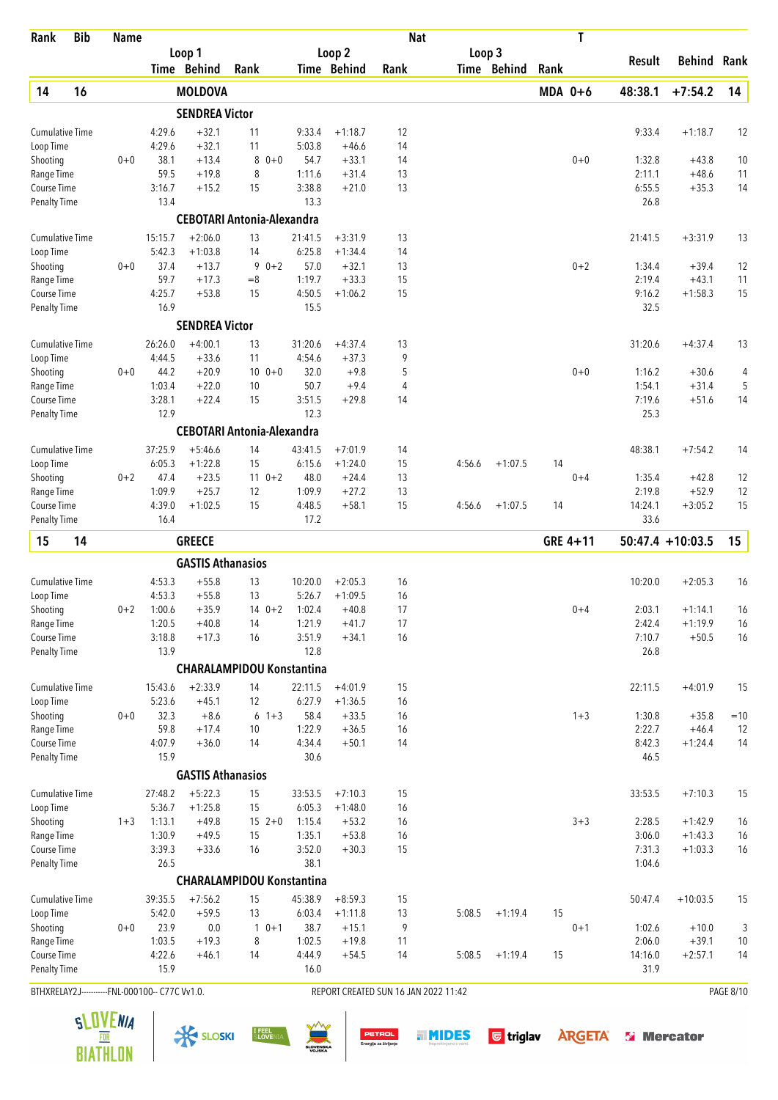| Rank                                           | <b>Bib</b> | <b>Name</b> |                   |                          |                                   |                   |                        | <b>Nat</b>                           |        |             |           | T        |                  |                     |                  |
|------------------------------------------------|------------|-------------|-------------------|--------------------------|-----------------------------------|-------------------|------------------------|--------------------------------------|--------|-------------|-----------|----------|------------------|---------------------|------------------|
|                                                |            |             |                   | Loop 1                   |                                   |                   | Loop <sub>2</sub>      |                                      |        | Loop 3      |           |          | Result           | Behind              | Rank             |
|                                                |            |             |                   | Time Behind              | Rank                              |                   | Time Behind            | Rank                                 |        | Time Behind | Rank      |          |                  |                     |                  |
| 14                                             | 16         |             |                   | <b>MOLDOVA</b>           |                                   |                   |                        |                                      |        |             | $MDA$ 0+6 |          | 48:38.1          | $+7:54.2$           | 14               |
|                                                |            |             |                   | <b>SENDREA Victor</b>    |                                   |                   |                        |                                      |        |             |           |          |                  |                     |                  |
| <b>Cumulative Time</b>                         |            |             | 4:29.6            | $+32.1$                  | 11                                | 9:33.4            | $+1:18.7$              | 12                                   |        |             |           |          | 9:33.4           | $+1:18.7$           | 12               |
| Loop Time                                      |            |             | 4:29.6            | $+32.1$                  | 11                                | 5:03.8            | +46.6                  | 14                                   |        |             |           |          |                  |                     |                  |
| Shooting                                       |            | $0 + 0$     | 38.1<br>59.5      | $+13.4$                  | 8<br>$0 + 0$                      | 54.7              | $+33.1$                | 14                                   |        |             |           | $0 + 0$  | 1:32.8           | $+43.8$             | 10               |
| Range Time<br>Course Time                      |            |             | 3:16.7            | $+19.8$<br>$+15.2$       | 8<br>15                           | 1:11.6<br>3:38.8  | $+31.4$<br>$+21.0$     | 13<br>13                             |        |             |           |          | 2:11.1<br>6:55.5 | $+48.6$<br>$+35.3$  | 11<br>14         |
| <b>Penalty Time</b>                            |            |             | 13.4              |                          |                                   | 13.3              |                        |                                      |        |             |           |          | 26.8             |                     |                  |
|                                                |            |             |                   |                          | <b>CEBOTARI Antonia-Alexandra</b> |                   |                        |                                      |        |             |           |          |                  |                     |                  |
| <b>Cumulative Time</b>                         |            |             | 15:15.7           | $+2:06.0$                | 13                                | 21:41.5           | $+3:31.9$              | 13                                   |        |             |           |          | 21:41.5          | $+3:31.9$           | 13               |
| Loop Time                                      |            |             | 5:42.3            | $+1:03.8$                | 14                                | 6:25.8            | $+1:34.4$              | 14                                   |        |             |           |          |                  |                     |                  |
| Shooting                                       |            | $0 + 0$     | 37.4              | $+13.7$                  | 9<br>$0 + 2$                      | 57.0              | $+32.1$                | 13                                   |        |             |           | $0 + 2$  | 1:34.4           | $+39.4$             | 12               |
| Range Time                                     |            |             | 59.7              | $+17.3$                  | $= 8$                             | 1:19.7            | $+33.3$                | 15                                   |        |             |           |          | 2:19.4           | $+43.1$             | 11               |
| Course Time                                    |            |             | 4:25.7            | $+53.8$                  | 15                                | 4:50.5            | $+1:06.2$              | 15                                   |        |             |           |          | 9:16.2           | $+1:58.3$           | 15               |
| <b>Penalty Time</b>                            |            |             | 16.9              |                          |                                   | 15.5              |                        |                                      |        |             |           |          | 32.5             |                     |                  |
|                                                |            |             |                   | <b>SENDREA Victor</b>    |                                   |                   |                        |                                      |        |             |           |          |                  |                     |                  |
| <b>Cumulative Time</b>                         |            |             | 26:26.0           | $+4:00.1$                | 13                                | 31:20.6           | $+4:37.4$              | 13                                   |        |             |           |          | 31:20.6          | $+4:37.4$           | 13               |
| Loop Time                                      |            |             | 4:44.5            | $+33.6$                  | 11                                | 4:54.6            | $+37.3$                | 9                                    |        |             |           |          |                  |                     |                  |
| Shooting                                       |            | $0 + 0$     | 44.2              | $+20.9$                  | $100 + 0$                         | 32.0              | $+9.8$                 | 5                                    |        |             |           | $0 + 0$  | 1:16.2           | $+30.6$             | 4                |
| Range Time                                     |            |             | 1:03.4            | $+22.0$                  | 10                                | 50.7              | $+9.4$                 | 4                                    |        |             |           |          | 1:54.1           | $+31.4$             | 5                |
| Course Time<br><b>Penalty Time</b>             |            |             | 3:28.1<br>12.9    | $+22.4$                  | 15                                | 3:51.5<br>12.3    | $+29.8$                | 14                                   |        |             |           |          | 7:19.6<br>25.3   | $+51.6$             | 14               |
|                                                |            |             |                   |                          | <b>CEBOTARI Antonia-Alexandra</b> |                   |                        |                                      |        |             |           |          |                  |                     |                  |
|                                                |            |             |                   |                          |                                   |                   |                        |                                      |        |             |           |          |                  |                     |                  |
| <b>Cumulative Time</b><br>Loop Time            |            |             | 37:25.9<br>6:05.3 | $+5:46.6$<br>$+1:22.8$   | 14<br>15                          | 43:41.5<br>6:15.6 | $+7:01.9$<br>$+1:24.0$ | 14<br>15                             | 4:56.6 | $+1:07.5$   | 14        |          | 48:38.1          | $+7:54.2$           | 14               |
| Shooting                                       |            | $0 + 2$     | 47.4              | $+23.5$                  | $11 \t 0+2$                       | 48.0              | $+24.4$                | 13                                   |        |             |           | $0 + 4$  | 1:35.4           | $+42.8$             | 12               |
| Range Time                                     |            |             | 1:09.9            | $+25.7$                  | 12                                | 1:09.9            | $+27.2$                | 13                                   |        |             |           |          | 2:19.8           | $+52.9$             | 12               |
| Course Time                                    |            |             | 4:39.0            | $+1:02.5$                | 15                                | 4:48.5            | $+58.1$                | 15                                   | 4:56.6 | $+1:07.5$   | 14        |          | 14:24.1          | $+3:05.2$           | 15               |
| <b>Penalty Time</b>                            |            |             | 16.4              |                          |                                   | 17.2              |                        |                                      |        |             |           |          | 33.6             |                     |                  |
| 15                                             | 14         |             |                   | <b>GREECE</b>            |                                   |                   |                        |                                      |        |             |           | GRE 4+11 |                  | $50:47.4 + 10:03.5$ | 15               |
|                                                |            |             |                   | <b>GASTIS Athanasios</b> |                                   |                   |                        |                                      |        |             |           |          |                  |                     |                  |
| <b>Cumulative Time</b>                         |            |             | 4:53.3            | $+55.8$                  | 13                                | 10:20.0           | $+2:05.3$              | 16                                   |        |             |           |          | 10:20.0          | $+2:05.3$           | 16               |
| Loop Time                                      |            |             | 4:53.3            | $+55.8$                  | 13                                | 5:26.7            | $+1:09.5$              | 16                                   |        |             |           |          |                  |                     |                  |
| Shooting                                       |            | $0 + 2$     | 1:00.6            | $+35.9$                  | $14 \t 0+2$                       | 1:02.4            | $+40.8$                | 17                                   |        |             |           | $0 + 4$  | 2:03.1           | $+1:14.1$           | 16               |
| Range Time                                     |            |             | 1:20.5            | $+40.8$                  | 14                                | 1:21.9            | $+41.7$                | 17                                   |        |             |           |          | 2:42.4           | $+1:19.9$           | 16               |
| Course Time                                    |            |             | 3:18.8            | $+17.3$                  | 16                                | 3:51.9            | $+34.1$                | 16                                   |        |             |           |          | 7:10.7           | $+50.5$             | 16               |
| Penalty Time                                   |            |             | 13.9              |                          |                                   | 12.8              |                        |                                      |        |             |           |          | 26.8             |                     |                  |
|                                                |            |             |                   |                          | <b>CHARALAMPIDOU Konstantina</b>  |                   |                        |                                      |        |             |           |          |                  |                     |                  |
| <b>Cumulative Time</b>                         |            |             | 15:43.6           | $+2:33.9$                | 14                                | 22:11.5           | $+4:01.9$              | 15                                   |        |             |           |          | 22:11.5          | $+4:01.9$           | 15               |
| Loop Time                                      |            |             | 5:23.6            | $+45.1$                  | 12                                | 6:27.9            | $+1:36.5$              | 16                                   |        |             |           |          |                  |                     |                  |
| Shooting<br>Range Time                         |            | $0 + 0$     | 32.3<br>59.8      | $+8.6$<br>$+17.4$        | $6 + 3$<br>10                     | 58.4<br>1:22.9    | $+33.5$<br>$+36.5$     | 16<br>16                             |        |             |           | $1 + 3$  | 1:30.8<br>2:22.7 | $+35.8$<br>$+46.4$  | $=10$<br>12      |
| Course Time                                    |            |             | 4:07.9            | $+36.0$                  | 14                                | 4:34.4            | $+50.1$                | 14                                   |        |             |           |          | 8:42.3           | $+1:24.4$           | 14               |
| Penalty Time                                   |            |             | 15.9              |                          |                                   | 30.6              |                        |                                      |        |             |           |          | 46.5             |                     |                  |
|                                                |            |             |                   | <b>GASTIS Athanasios</b> |                                   |                   |                        |                                      |        |             |           |          |                  |                     |                  |
| <b>Cumulative Time</b>                         |            |             | 27:48.2           | $+5:22.3$                | 15                                | 33:53.5           | $+7:10.3$              | 15                                   |        |             |           |          | 33:53.5          | $+7:10.3$           | 15               |
| Loop Time                                      |            |             | 5:36.7            | $+1:25.8$                | 15                                | 6:05.3            | $+1:48.0$              | 16                                   |        |             |           |          |                  |                     |                  |
| Shooting                                       |            | $1 + 3$     | 1:13.1            | $+49.8$                  | $15 \t2+0$                        | 1:15.4            | $+53.2$                | 16                                   |        |             |           | $3 + 3$  | 2:28.5           | $+1:42.9$           | 16               |
| Range Time                                     |            |             | 1:30.9            | $+49.5$                  | 15                                | 1:35.1            | $+53.8$                | 16                                   |        |             |           |          | 3:06.0           | $+1:43.3$           | 16               |
| Course Time                                    |            |             | 3:39.3            | $+33.6$                  | 16                                | 3:52.0            | $+30.3$                | 15                                   |        |             |           |          | 7:31.3           | $+1:03.3$           | 16               |
| <b>Penalty Time</b>                            |            |             | 26.5              |                          |                                   | 38.1              |                        |                                      |        |             |           |          | 1:04.6           |                     |                  |
|                                                |            |             |                   |                          | <b>CHARALAMPIDOU Konstantina</b>  |                   |                        |                                      |        |             |           |          |                  |                     |                  |
| <b>Cumulative Time</b>                         |            |             | 39:35.5           | $+7:56.2$                | 15                                | 45:38.9           | $+8:59.3$              | 15                                   |        |             |           |          | 50:47.4          | $+10:03.5$          | 15               |
| Loop Time                                      |            |             | 5:42.0<br>23.9    | $+59.5$                  | 13                                | 6:03.4            | $+1:11.8$              | 13                                   | 5:08.5 | $+1:19.4$   | 15        |          |                  |                     |                  |
| Shooting<br>Range Time                         |            | $0 + 0$     | 1:03.5            | $0.0\,$<br>$+19.3$       | $0 + 1$<br>$\mathbf{1}$<br>8      | 38.7<br>1:02.5    | $+15.1$<br>$+19.8$     | 9<br>11                              |        |             |           | $0 + 1$  | 1:02.6<br>2:06.0 | $+10.0$<br>$+39.1$  | 3<br>10          |
| Course Time                                    |            |             | 4:22.6            | $+46.1$                  | 14                                | 4:44.9            | $+54.5$                | 14                                   | 5:08.5 | $+1:19.4$   | 15        |          | 14:16.0          | $+2:57.1$           | 14               |
| <b>Penalty Time</b>                            |            |             | 15.9              |                          |                                   | 16.0              |                        |                                      |        |             |           |          | 31.9             |                     |                  |
| BTHXRELAY2J-----------FNL-000100-- C77C Vv1.0. |            |             |                   |                          |                                   |                   |                        | REPORT CREATED SUN 16 JAN 2022 11:42 |        |             |           |          |                  |                     | <b>PAGE 8/10</b> |

 $\frac{1}{\sqrt{2}}$  SLOSKI  $\frac{1}{2}$  SLOSKI  $\frac{1}{2}$   $\frac{1}{2}$   $\frac{1}{2}$   $\frac{1}{2}$   $\frac{1}{2}$   $\frac{1}{2}$   $\frac{1}{2}$   $\frac{1}{2}$   $\frac{1}{2}$   $\frac{1}{2}$   $\frac{1}{2}$   $\frac{1}{2}$   $\frac{1}{2}$   $\frac{1}{2}$   $\frac{1}{2}$   $\frac{1}{2}$   $\frac{1}{2}$   $\frac{1}{2}$   $\frac{$ 



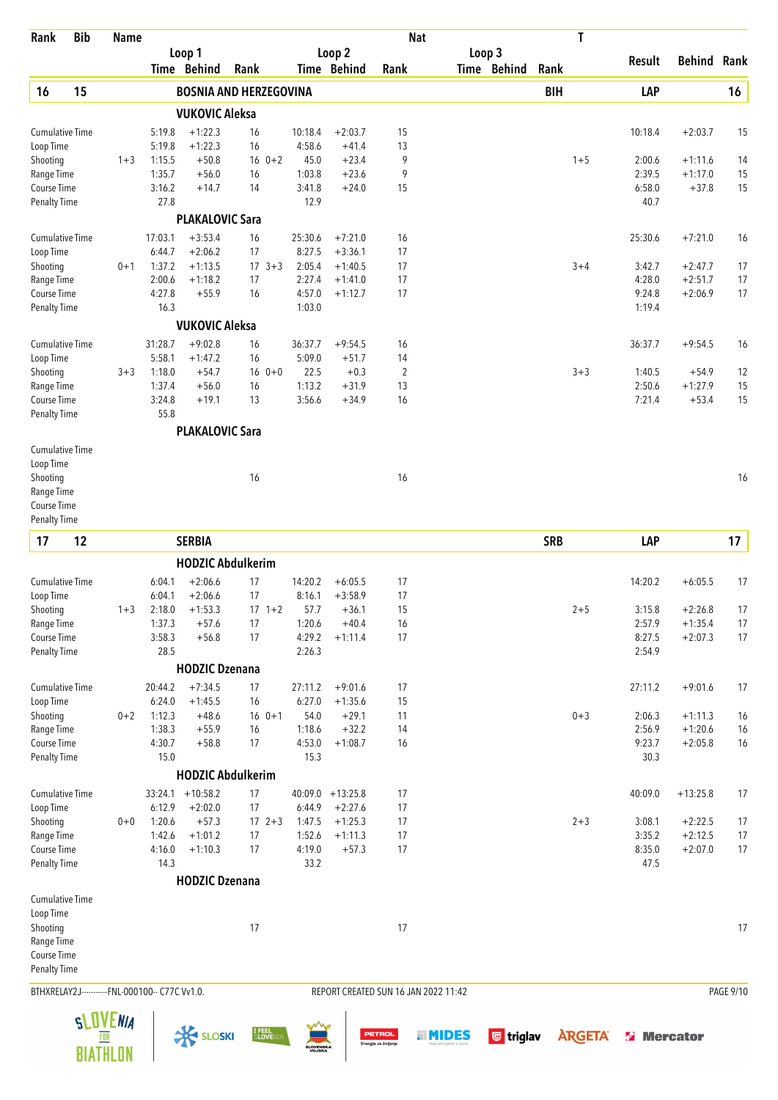| Rank                                | <b>Bib</b> | <b>Name</b>     |                                                |                        |                               |                     |                        |                       | <b>Nat</b>                           | T              |                    |                      |           |
|-------------------------------------|------------|-----------------|------------------------------------------------|------------------------|-------------------------------|---------------------|------------------------|-----------------------|--------------------------------------|----------------|--------------------|----------------------|-----------|
|                                     |            |                 |                                                | Loop 1<br>Time Behind  | Rank                          |                     | Loop 2<br>Time Behind  | Rank                  | Loop 3<br>Time Behind                | Rank           | Result             | <b>Behind Rank</b>   |           |
| 16                                  | 15         |                 |                                                |                        | <b>BOSNIA AND HERZEGOVINA</b> |                     |                        |                       |                                      | <b>BIH</b>     | LAP                |                      | 16        |
|                                     |            |                 |                                                | <b>VUKOVIC Aleksa</b>  |                               |                     |                        |                       |                                      |                |                    |                      |           |
| Cumulative Time                     |            |                 | 5:19.8                                         | $+1:22.3$              | 16                            | 10:18.4             | $+2:03.7$              | 15                    |                                      |                | 10:18.4            | $+2:03.7$            | 15        |
| Loop Time                           |            |                 | 5:19.8                                         | $+1:22.3$              | 16                            | 4:58.6              | $+41.4$                | 13                    |                                      |                |                    |                      |           |
| Shooting                            |            | $1 + 3$         | 1:15.5                                         | $+50.8$                | $16 \t 0+2$                   | 45.0                | $+23.4$                | 9                     |                                      | $1 + 5$        | 2:00.6             | $+1:11.6$            | 14        |
| Range Time                          |            |                 | 1:35.7                                         | $+56.0$                | 16                            | 1:03.8              | $+23.6$                | 9                     |                                      |                | 2:39.5             | $+1:17.0$            | 15        |
| Course Time                         |            |                 | 3:16.2                                         | $+14.7$                | 14                            | 3:41.8              | $+24.0$                | 15                    |                                      |                | 6:58.0             | $+37.8$              | 15        |
| <b>Penalty Time</b>                 |            |                 | 27.8                                           |                        |                               | 12.9                |                        |                       |                                      |                | 40.7               |                      |           |
|                                     |            |                 |                                                | <b>PLAKALOVIC Sara</b> |                               |                     |                        |                       |                                      |                |                    |                      |           |
| Cumulative Time                     |            |                 | 17:03.1                                        | $+3:53.4$              | 16                            | 25:30.6             | $+7:21.0$              | 16                    |                                      |                | 25:30.6            | $+7:21.0$            | 16        |
| Loop Time                           |            |                 | 6:44.7                                         | $+2:06.2$              | 17                            | 8:27.5              | $+3:36.1$              | 17                    |                                      |                |                    |                      |           |
| Shooting                            |            | $0 + 1$         | 1:37.2                                         | $+1:13.5$              | $17 \t3+3$                    | 2:05.4              | $+1:40.5$              | 17                    |                                      | $3 + 4$        | 3:42.7             | $+2:47.7$            | 17        |
| Range Time                          |            |                 | 2:00.6                                         | $+1:18.2$              | 17                            | 2:27.4              | $+1:41.0$              | 17                    |                                      |                | 4:28.0             | $+2:51.7$            | 17        |
| Course Time                         |            |                 | 4:27.8<br>16.3                                 | $+55.9$                | 16                            | 4:57.0<br>1:03.0    | $+1:12.7$              | 17                    |                                      |                | 9:24.8<br>1:19.4   | $+2:06.9$            | 17        |
| <b>Penalty Time</b>                 |            |                 |                                                | <b>VUKOVIC Aleksa</b>  |                               |                     |                        |                       |                                      |                |                    |                      |           |
|                                     |            |                 |                                                |                        |                               |                     |                        |                       |                                      |                |                    |                      |           |
| <b>Cumulative Time</b>              |            |                 | 31:28.7                                        | $+9:02.8$              | 16                            | 36:37.7             | $+9:54.5$              | 16                    |                                      |                | 36:37.7            | $+9:54.5$            | 16        |
| Loop Time                           |            |                 | 5:58.1                                         | $+1:47.2$              | 16                            | 5:09.0              | $+51.7$                | 14                    |                                      |                |                    |                      |           |
| Shooting                            |            | $3 + 3$         | 1:18.0                                         | $+54.7$                | $160+0$                       | 22.5<br>1:13.2      | $+0.3$                 | $\overline{2}$<br>13  |                                      | $3 + 3$        | 1:40.5             | $+54.9$              | 12        |
| Range Time<br>Course Time           |            |                 | 1:37.4<br>3:24.8                               | $+56.0$<br>$+19.1$     | 16<br>13                      | 3:56.6              | $+31.9$<br>$+34.9$     | 16                    |                                      |                | 2:50.6<br>7:21.4   | $+1:27.9$<br>$+53.4$ | 15<br>15  |
| <b>Penalty Time</b>                 |            |                 | 55.8                                           |                        |                               |                     |                        |                       |                                      |                |                    |                      |           |
|                                     |            |                 |                                                | <b>PLAKALOVIC Sara</b> |                               |                     |                        |                       |                                      |                |                    |                      |           |
|                                     |            |                 |                                                |                        |                               |                     |                        |                       |                                      |                |                    |                      |           |
| Cumulative Time                     |            |                 |                                                |                        |                               |                     |                        |                       |                                      |                |                    |                      |           |
| Loop Time                           |            |                 |                                                |                        |                               |                     |                        |                       |                                      |                |                    |                      |           |
| Shooting<br>Range Time              |            |                 |                                                |                        | 16                            |                     |                        | 16                    |                                      |                |                    |                      | 16        |
| Course Time                         |            |                 |                                                |                        |                               |                     |                        |                       |                                      |                |                    |                      |           |
| <b>Penalty Time</b>                 |            |                 |                                                |                        |                               |                     |                        |                       |                                      |                |                    |                      |           |
| 17                                  | 12         |                 |                                                | <b>SERBIA</b>          |                               |                     |                        |                       |                                      | <b>SRB</b>     | LAP                |                      | 17        |
|                                     |            |                 |                                                |                        |                               |                     |                        |                       |                                      |                |                    |                      |           |
|                                     |            |                 |                                                |                        | <b>HODZIC Abdulkerim</b>      |                     |                        |                       |                                      |                |                    | $+6:05.5$            |           |
| <b>Cumulative Time</b><br>Loop Time |            |                 | 6:04.1<br>6:04.1                               | $+2:06.6$<br>$+2:06.6$ | 17<br>17                      | 14:20.2<br>8:16.1   | $+6:05.5$<br>$+3:58.9$ | 17<br>17              |                                      |                | 14:20.2            |                      | 17        |
| Shooting                            |            | $1 + 3$         | 2:18.0                                         | $+1:53.3$              | $17 \t1+2$                    | 57.7                | $+36.1$                | 15                    |                                      | $2 + 5$        | 3:15.8             | $+2:26.8$            | 17        |
| Range Time                          |            |                 | 1:37.3                                         | $+57.6$                | 17                            | 1:20.6              | $+40.4$                | 16                    |                                      |                | 2:57.9             | $+1:35.4$            | 17        |
| Course Time                         |            |                 | 3:58.3                                         | $+56.8$                | 17                            | 4:29.2              | $+1:11.4$              | 17                    |                                      |                | 8:27.5             | $+2:07.3$            | 17        |
| <b>Penalty Time</b>                 |            |                 | 28.5                                           |                        |                               | 2:26.3              |                        |                       |                                      |                | 2:54.9             |                      |           |
|                                     |            |                 |                                                | <b>HODZIC Dzenana</b>  |                               |                     |                        |                       |                                      |                |                    |                      |           |
| Cumulative Time                     |            |                 | 20:44.2                                        | $+7:34.5$              | 17                            | 27:11.2             | $+9:01.6$              | 17                    |                                      |                | 27:11.2            | $+9:01.6$            | 17        |
| Loop Time                           |            |                 | 6:24.0                                         | $+1:45.5$              | 16                            | 6:27.0              | $+1:35.6$              | 15                    |                                      |                |                    |                      |           |
| Shooting                            |            | $0 + 2$         | 1:12.3                                         | $+48.6$                | $16 \t 0+1$                   | 54.0                | $+29.1$                | 11                    |                                      | $0 + 3$        | 2:06.3             | $+1:11.3$            | 16        |
| Range Time                          |            |                 | 1:38.3                                         | $+55.9$                | 16                            | 1:18.6              | $+32.2$                | 14                    |                                      |                | 2:56.9             | $+1:20.6$            | 16        |
| Course Time                         |            |                 | 4:30.7                                         | $+58.8$                | 17                            | 4:53.0              | $+1:08.7$              | 16                    |                                      |                | 9:23.7             | $+2:05.8$            | 16        |
| <b>Penalty Time</b>                 |            |                 | 15.0                                           |                        |                               | 15.3                |                        |                       |                                      |                | 30.3               |                      |           |
|                                     |            |                 |                                                |                        | <b>HODZIC Abdulkerim</b>      |                     |                        |                       |                                      |                |                    |                      |           |
| <b>Cumulative Time</b>              |            |                 |                                                | $33:24.1 + 10:58.2$    | 17                            |                     | $40:09.0 + 13:25.8$    | 17                    |                                      |                | 40:09.0            | $+13:25.8$           | 17        |
| Loop Time                           |            |                 | 6:12.9                                         | $+2:02.0$              | 17                            | 6:44.9              | $+2:27.6$              | 17                    |                                      |                |                    |                      |           |
| Shooting                            |            | $0 + 0$         | 1:20.6                                         | $+57.3$                | $17 \t2+3$                    | 1:47.5              | $+1:25.3$              | 17                    |                                      | $2 + 3$        | 3:08.1             | $+2:22.5$            | 17        |
| Range Time                          |            |                 | 1:42.6                                         | $+1:01.2$              | 17                            | 1:52.6              | $+1:11.3$              | 17                    |                                      |                | 3:35.2             | $+2:12.5$            | 17        |
| Course Time                         |            |                 | 4:16.0                                         | $+1:10.3$              | 17                            | 4:19.0              | $+57.3$                | 17                    |                                      |                | 8:35.0             | $+2:07.0$            | 17        |
| <b>Penalty Time</b>                 |            |                 | 14.3                                           |                        |                               | 33.2                |                        |                       |                                      |                | 47.5               |                      |           |
|                                     |            |                 |                                                | <b>HODZIC Dzenana</b>  |                               |                     |                        |                       |                                      |                |                    |                      |           |
| <b>Cumulative Time</b>              |            |                 |                                                |                        |                               |                     |                        |                       |                                      |                |                    |                      |           |
| Loop Time                           |            |                 |                                                |                        |                               |                     |                        |                       |                                      |                |                    |                      |           |
| Shooting                            |            |                 |                                                |                        | 17                            |                     |                        | 17                    |                                      |                |                    |                      | 17        |
| Range Time                          |            |                 |                                                |                        |                               |                     |                        |                       |                                      |                |                    |                      |           |
| Course Time                         |            |                 |                                                |                        |                               |                     |                        |                       |                                      |                |                    |                      |           |
| Penalty Time                        |            |                 |                                                |                        |                               |                     |                        |                       |                                      |                |                    |                      |           |
|                                     |            |                 | BTHXRELAY2J-----------FNL-000100-- C77C Vv1.0. |                        |                               |                     |                        |                       | REPORT CREATED SUN 16 JAN 2022 11:42 |                |                    |                      | PAGE 9/10 |
|                                     |            | <b>SLOVENIA</b> |                                                |                        |                               |                     |                        |                       |                                      |                |                    |                      |           |
|                                     |            | FOR             |                                                | <b>X SLOSKI</b>        | I FEEL<br>SLOVENIA            |                     |                        | <b>PETROL</b>         | <b>G</b> triglav<br><b>HINDES</b>    | <b>ARGETA®</b> | <b>Si</b> Mercator |                      |           |
|                                     |            | <b>BIATHLON</b> |                                                |                        |                               | SLOVENSKA<br>VOJSKA |                        | Energija za življenje |                                      |                |                    |                      |           |